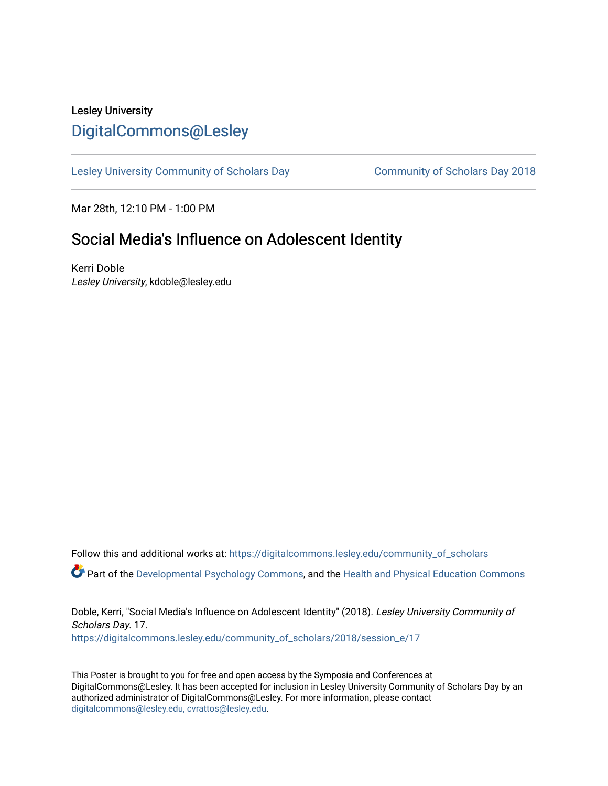# Lesley University [DigitalCommons@Lesley](https://digitalcommons.lesley.edu/)

[Lesley University Community of Scholars Day](https://digitalcommons.lesley.edu/community_of_scholars) [Community of Scholars Day 2018](https://digitalcommons.lesley.edu/community_of_scholars/2018) 

Mar 28th, 12:10 PM - 1:00 PM

# Social Media's Influence on Adolescent Identity

Kerri Doble Lesley University, kdoble@lesley.edu

Follow this and additional works at: [https://digitalcommons.lesley.edu/community\\_of\\_scholars](https://digitalcommons.lesley.edu/community_of_scholars?utm_source=digitalcommons.lesley.edu%2Fcommunity_of_scholars%2F2018%2Fsession_e%2F17&utm_medium=PDF&utm_campaign=PDFCoverPages) 

Part of the [Developmental Psychology Commons,](http://network.bepress.com/hgg/discipline/410?utm_source=digitalcommons.lesley.edu%2Fcommunity_of_scholars%2F2018%2Fsession_e%2F17&utm_medium=PDF&utm_campaign=PDFCoverPages) and the [Health and Physical Education Commons](http://network.bepress.com/hgg/discipline/1327?utm_source=digitalcommons.lesley.edu%2Fcommunity_of_scholars%2F2018%2Fsession_e%2F17&utm_medium=PDF&utm_campaign=PDFCoverPages) 

Doble, Kerri, "Social Media's Influence on Adolescent Identity" (2018). Lesley University Community of Scholars Day. 17.

[https://digitalcommons.lesley.edu/community\\_of\\_scholars/2018/session\\_e/17](https://digitalcommons.lesley.edu/community_of_scholars/2018/session_e/17?utm_source=digitalcommons.lesley.edu%2Fcommunity_of_scholars%2F2018%2Fsession_e%2F17&utm_medium=PDF&utm_campaign=PDFCoverPages)

This Poster is brought to you for free and open access by the Symposia and Conferences at DigitalCommons@Lesley. It has been accepted for inclusion in Lesley University Community of Scholars Day by an authorized administrator of DigitalCommons@Lesley. For more information, please contact [digitalcommons@lesley.edu, cvrattos@lesley.edu](mailto:digitalcommons@lesley.edu,%20cvrattos@lesley.edu).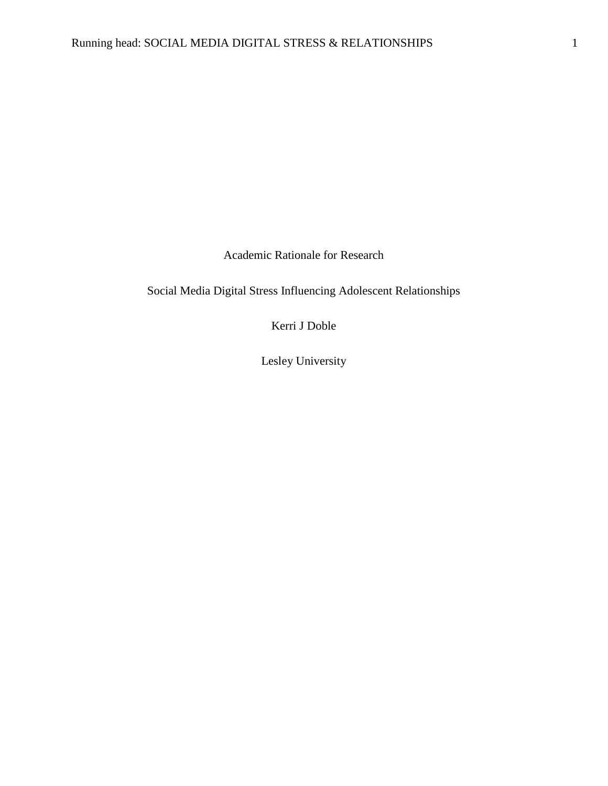Academic Rationale for Research

Social Media Digital Stress Influencing Adolescent Relationships

Kerri J Doble

Lesley University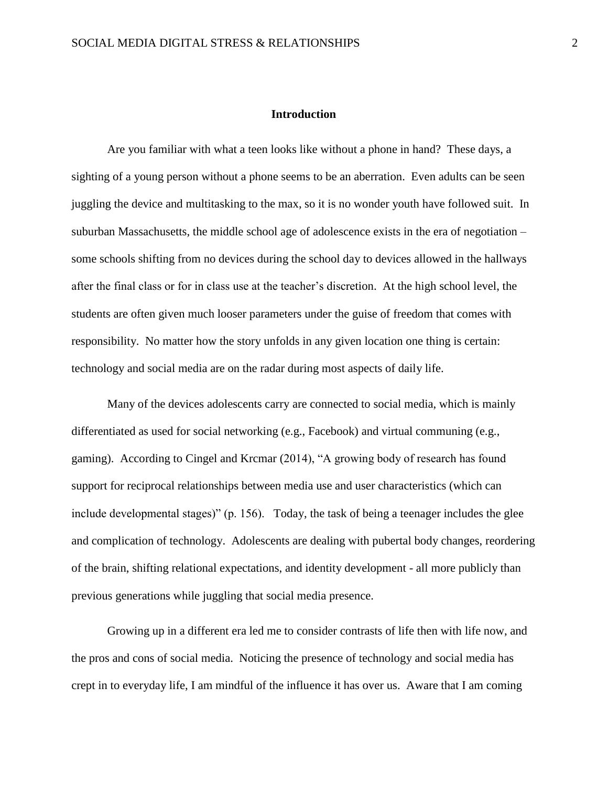#### **Introduction**

Are you familiar with what a teen looks like without a phone in hand? These days, a sighting of a young person without a phone seems to be an aberration. Even adults can be seen juggling the device and multitasking to the max, so it is no wonder youth have followed suit. In suburban Massachusetts, the middle school age of adolescence exists in the era of negotiation – some schools shifting from no devices during the school day to devices allowed in the hallways after the final class or for in class use at the teacher's discretion. At the high school level, the students are often given much looser parameters under the guise of freedom that comes with responsibility. No matter how the story unfolds in any given location one thing is certain: technology and social media are on the radar during most aspects of daily life.

Many of the devices adolescents carry are connected to social media, which is mainly differentiated as used for social networking (e.g., Facebook) and virtual communing (e.g., gaming). According to Cingel and Krcmar (2014), "A growing body of research has found support for reciprocal relationships between media use and user characteristics (which can include developmental stages)" (p. 156). Today, the task of being a teenager includes the glee and complication of technology. Adolescents are dealing with pubertal body changes, reordering of the brain, shifting relational expectations, and identity development - all more publicly than previous generations while juggling that social media presence.

Growing up in a different era led me to consider contrasts of life then with life now, and the pros and cons of social media. Noticing the presence of technology and social media has crept in to everyday life, I am mindful of the influence it has over us. Aware that I am coming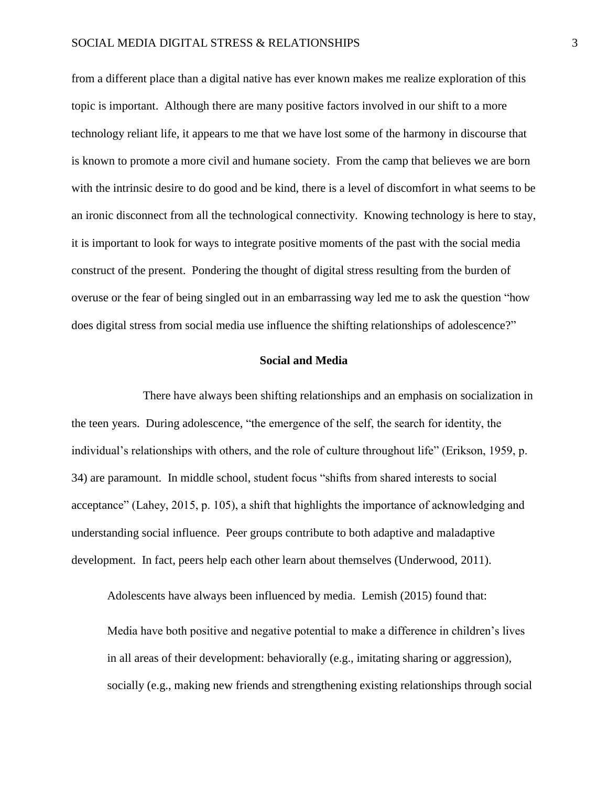## SOCIAL MEDIA DIGITAL STRESS & RELATIONSHIPS 3

from a different place than a digital native has ever known makes me realize exploration of this topic is important. Although there are many positive factors involved in our shift to a more technology reliant life, it appears to me that we have lost some of the harmony in discourse that is known to promote a more civil and humane society. From the camp that believes we are born with the intrinsic desire to do good and be kind, there is a level of discomfort in what seems to be an ironic disconnect from all the technological connectivity. Knowing technology is here to stay, it is important to look for ways to integrate positive moments of the past with the social media construct of the present. Pondering the thought of digital stress resulting from the burden of overuse or the fear of being singled out in an embarrassing way led me to ask the question "how does digital stress from social media use influence the shifting relationships of adolescence?"

# **Social and Media**

There have always been shifting relationships and an emphasis on socialization in the teen years. During adolescence, "the emergence of the self, the search for identity, the individual's relationships with others, and the role of culture throughout life" (Erikson, 1959, p. 34) are paramount. In middle school, student focus "shifts from shared interests to social acceptance" (Lahey, 2015, p. 105), a shift that highlights the importance of acknowledging and understanding social influence. Peer groups contribute to both adaptive and maladaptive development. In fact, peers help each other learn about themselves (Underwood, 2011).

Adolescents have always been influenced by media. Lemish (2015) found that:

Media have both positive and negative potential to make a difference in children's lives in all areas of their development: behaviorally (e.g., imitating sharing or aggression), socially (e.g., making new friends and strengthening existing relationships through social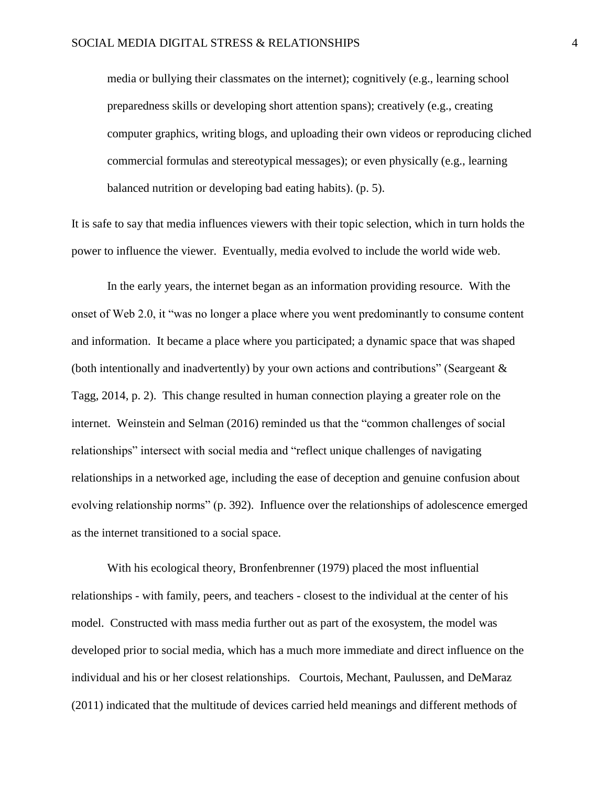media or bullying their classmates on the internet); cognitively (e.g., learning school preparedness skills or developing short attention spans); creatively (e.g., creating computer graphics, writing blogs, and uploading their own videos or reproducing cliched commercial formulas and stereotypical messages); or even physically (e.g., learning balanced nutrition or developing bad eating habits). (p. 5).

It is safe to say that media influences viewers with their topic selection, which in turn holds the power to influence the viewer. Eventually, media evolved to include the world wide web.

In the early years, the internet began as an information providing resource. With the onset of Web 2.0, it "was no longer a place where you went predominantly to consume content and information. It became a place where you participated; a dynamic space that was shaped (both intentionally and inadvertently) by your own actions and contributions" (Seargeant & Tagg, 2014, p. 2). This change resulted in human connection playing a greater role on the internet. Weinstein and Selman (2016) reminded us that the "common challenges of social relationships" intersect with social media and "reflect unique challenges of navigating relationships in a networked age, including the ease of deception and genuine confusion about evolving relationship norms" (p. 392). Influence over the relationships of adolescence emerged as the internet transitioned to a social space.

With his ecological theory, Bronfenbrenner (1979) placed the most influential relationships - with family, peers, and teachers - closest to the individual at the center of his model. Constructed with mass media further out as part of the exosystem, the model was developed prior to social media, which has a much more immediate and direct influence on the individual and his or her closest relationships. Courtois, Mechant, Paulussen, and DeMaraz (2011) indicated that the multitude of devices carried held meanings and different methods of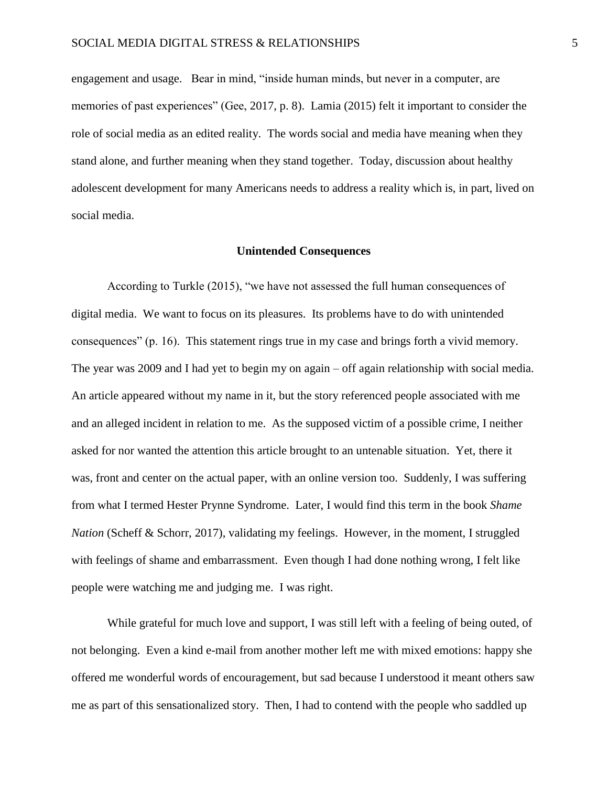engagement and usage. Bear in mind, "inside human minds, but never in a computer, are memories of past experiences" (Gee, 2017, p. 8). Lamia (2015) felt it important to consider the role of social media as an edited reality. The words social and media have meaning when they stand alone, and further meaning when they stand together. Today, discussion about healthy adolescent development for many Americans needs to address a reality which is, in part, lived on social media.

#### **Unintended Consequences**

According to Turkle (2015), "we have not assessed the full human consequences of digital media. We want to focus on its pleasures. Its problems have to do with unintended consequences" (p. 16). This statement rings true in my case and brings forth a vivid memory. The year was 2009 and I had yet to begin my on again – off again relationship with social media. An article appeared without my name in it, but the story referenced people associated with me and an alleged incident in relation to me. As the supposed victim of a possible crime, I neither asked for nor wanted the attention this article brought to an untenable situation. Yet, there it was, front and center on the actual paper, with an online version too. Suddenly, I was suffering from what I termed Hester Prynne Syndrome. Later, I would find this term in the book *Shame Nation* (Scheff & Schorr, 2017), validating my feelings. However, in the moment, I struggled with feelings of shame and embarrassment. Even though I had done nothing wrong, I felt like people were watching me and judging me. I was right.

While grateful for much love and support, I was still left with a feeling of being outed, of not belonging. Even a kind e-mail from another mother left me with mixed emotions: happy she offered me wonderful words of encouragement, but sad because I understood it meant others saw me as part of this sensationalized story. Then, I had to contend with the people who saddled up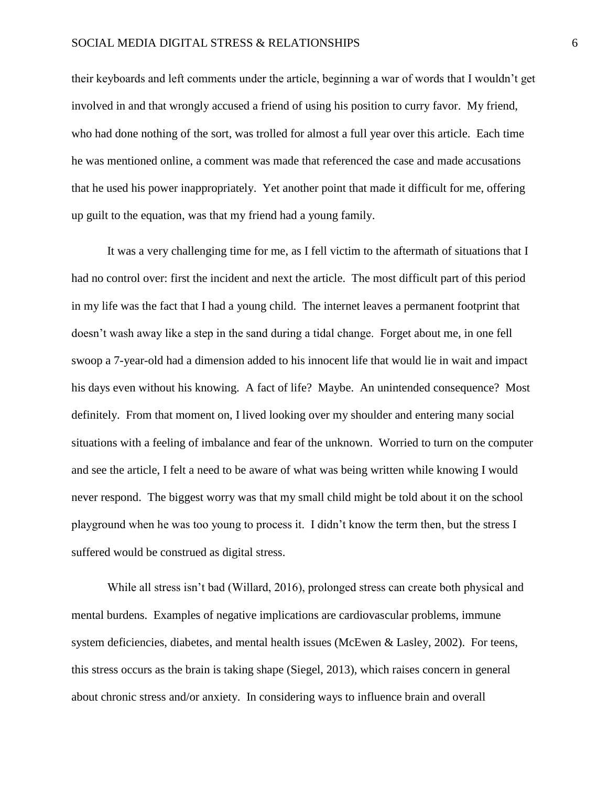## SOCIAL MEDIA DIGITAL STRESS & RELATIONSHIPS 6

their keyboards and left comments under the article, beginning a war of words that I wouldn't get involved in and that wrongly accused a friend of using his position to curry favor. My friend, who had done nothing of the sort, was trolled for almost a full year over this article. Each time he was mentioned online, a comment was made that referenced the case and made accusations that he used his power inappropriately. Yet another point that made it difficult for me, offering up guilt to the equation, was that my friend had a young family.

It was a very challenging time for me, as I fell victim to the aftermath of situations that I had no control over: first the incident and next the article. The most difficult part of this period in my life was the fact that I had a young child. The internet leaves a permanent footprint that doesn't wash away like a step in the sand during a tidal change. Forget about me, in one fell swoop a 7-year-old had a dimension added to his innocent life that would lie in wait and impact his days even without his knowing. A fact of life? Maybe. An unintended consequence? Most definitely. From that moment on, I lived looking over my shoulder and entering many social situations with a feeling of imbalance and fear of the unknown. Worried to turn on the computer and see the article, I felt a need to be aware of what was being written while knowing I would never respond. The biggest worry was that my small child might be told about it on the school playground when he was too young to process it. I didn't know the term then, but the stress I suffered would be construed as digital stress.

While all stress isn't bad (Willard, 2016), prolonged stress can create both physical and mental burdens. Examples of negative implications are cardiovascular problems, immune system deficiencies, diabetes, and mental health issues (McEwen & Lasley, 2002). For teens, this stress occurs as the brain is taking shape (Siegel, 2013), which raises concern in general about chronic stress and/or anxiety. In considering ways to influence brain and overall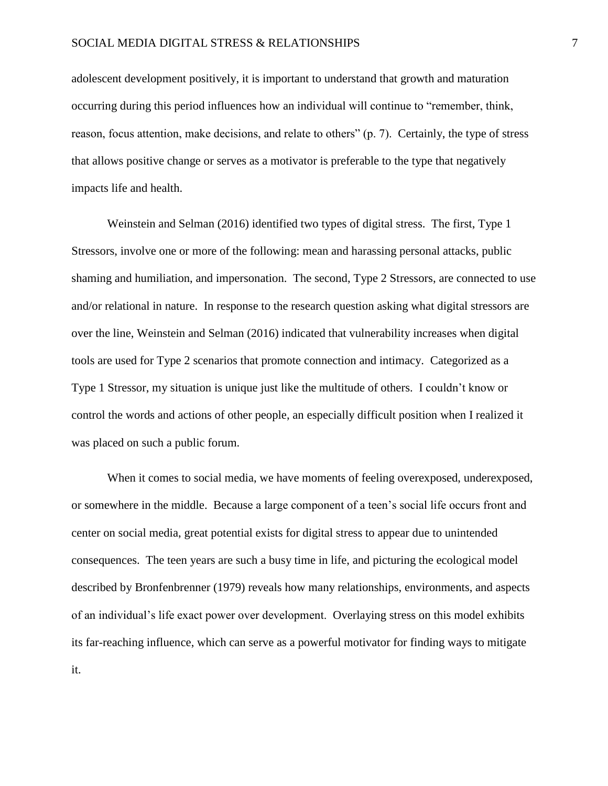adolescent development positively, it is important to understand that growth and maturation occurring during this period influences how an individual will continue to "remember, think, reason, focus attention, make decisions, and relate to others" (p. 7). Certainly, the type of stress that allows positive change or serves as a motivator is preferable to the type that negatively impacts life and health.

Weinstein and Selman (2016) identified two types of digital stress. The first, Type 1 Stressors, involve one or more of the following: mean and harassing personal attacks, public shaming and humiliation, and impersonation. The second, Type 2 Stressors, are connected to use and/or relational in nature. In response to the research question asking what digital stressors are over the line, Weinstein and Selman (2016) indicated that vulnerability increases when digital tools are used for Type 2 scenarios that promote connection and intimacy. Categorized as a Type 1 Stressor, my situation is unique just like the multitude of others. I couldn't know or control the words and actions of other people, an especially difficult position when I realized it was placed on such a public forum.

When it comes to social media, we have moments of feeling overexposed, underexposed, or somewhere in the middle. Because a large component of a teen's social life occurs front and center on social media, great potential exists for digital stress to appear due to unintended consequences. The teen years are such a busy time in life, and picturing the ecological model described by Bronfenbrenner (1979) reveals how many relationships, environments, and aspects of an individual's life exact power over development. Overlaying stress on this model exhibits its far-reaching influence, which can serve as a powerful motivator for finding ways to mitigate it.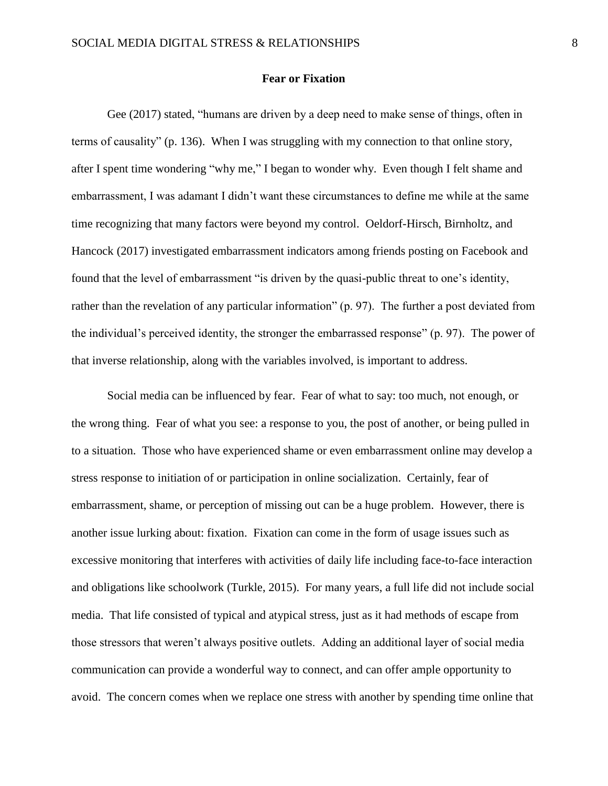#### **Fear or Fixation**

Gee (2017) stated, "humans are driven by a deep need to make sense of things, often in terms of causality" (p. 136). When I was struggling with my connection to that online story, after I spent time wondering "why me," I began to wonder why. Even though I felt shame and embarrassment, I was adamant I didn't want these circumstances to define me while at the same time recognizing that many factors were beyond my control. Oeldorf-Hirsch, Birnholtz, and Hancock (2017) investigated embarrassment indicators among friends posting on Facebook and found that the level of embarrassment "is driven by the quasi-public threat to one's identity, rather than the revelation of any particular information" (p. 97). The further a post deviated from the individual's perceived identity, the stronger the embarrassed response" (p. 97). The power of that inverse relationship, along with the variables involved, is important to address.

Social media can be influenced by fear. Fear of what to say: too much, not enough, or the wrong thing. Fear of what you see: a response to you, the post of another, or being pulled in to a situation. Those who have experienced shame or even embarrassment online may develop a stress response to initiation of or participation in online socialization. Certainly, fear of embarrassment, shame, or perception of missing out can be a huge problem. However, there is another issue lurking about: fixation. Fixation can come in the form of usage issues such as excessive monitoring that interferes with activities of daily life including face-to-face interaction and obligations like schoolwork (Turkle, 2015). For many years, a full life did not include social media. That life consisted of typical and atypical stress, just as it had methods of escape from those stressors that weren't always positive outlets. Adding an additional layer of social media communication can provide a wonderful way to connect, and can offer ample opportunity to avoid. The concern comes when we replace one stress with another by spending time online that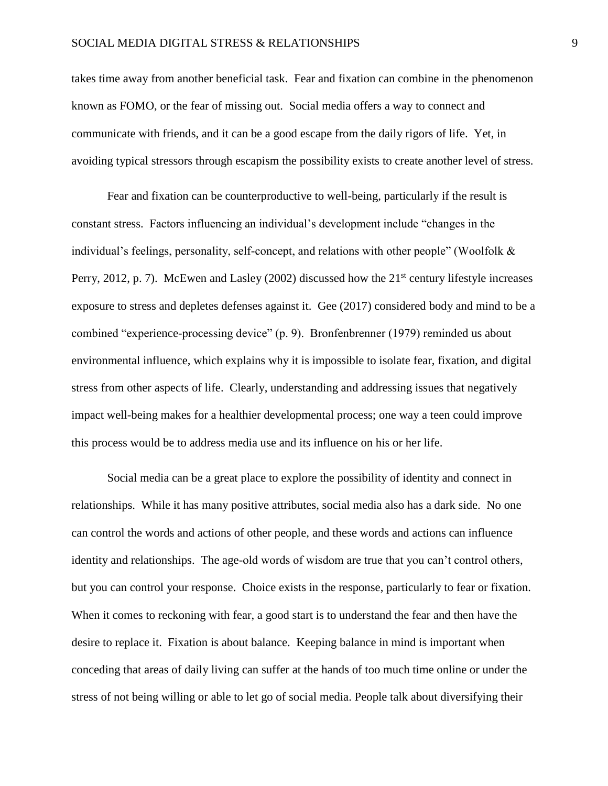takes time away from another beneficial task. Fear and fixation can combine in the phenomenon known as FOMO, or the fear of missing out. Social media offers a way to connect and communicate with friends, and it can be a good escape from the daily rigors of life. Yet, in avoiding typical stressors through escapism the possibility exists to create another level of stress.

Fear and fixation can be counterproductive to well-being, particularly if the result is constant stress. Factors influencing an individual's development include "changes in the individual's feelings, personality, self-concept, and relations with other people" (Woolfolk & Perry, 2012, p. 7). McEwen and Lasley (2002) discussed how the  $21<sup>st</sup>$  century lifestyle increases exposure to stress and depletes defenses against it. Gee (2017) considered body and mind to be a combined "experience-processing device" (p. 9). Bronfenbrenner (1979) reminded us about environmental influence, which explains why it is impossible to isolate fear, fixation, and digital stress from other aspects of life. Clearly, understanding and addressing issues that negatively impact well-being makes for a healthier developmental process; one way a teen could improve this process would be to address media use and its influence on his or her life.

Social media can be a great place to explore the possibility of identity and connect in relationships. While it has many positive attributes, social media also has a dark side. No one can control the words and actions of other people, and these words and actions can influence identity and relationships. The age-old words of wisdom are true that you can't control others, but you can control your response. Choice exists in the response, particularly to fear or fixation. When it comes to reckoning with fear, a good start is to understand the fear and then have the desire to replace it. Fixation is about balance. Keeping balance in mind is important when conceding that areas of daily living can suffer at the hands of too much time online or under the stress of not being willing or able to let go of social media. People talk about diversifying their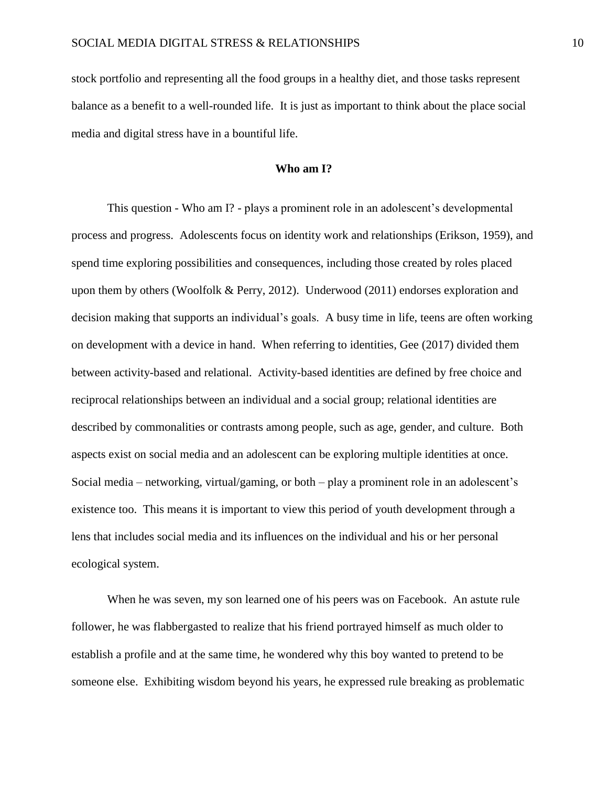stock portfolio and representing all the food groups in a healthy diet, and those tasks represent balance as a benefit to a well-rounded life. It is just as important to think about the place social media and digital stress have in a bountiful life.

## **Who am I?**

This question - Who am I? - plays a prominent role in an adolescent's developmental process and progress. Adolescents focus on identity work and relationships (Erikson, 1959), and spend time exploring possibilities and consequences, including those created by roles placed upon them by others (Woolfolk & Perry, 2012). Underwood (2011) endorses exploration and decision making that supports an individual's goals. A busy time in life, teens are often working on development with a device in hand. When referring to identities, Gee (2017) divided them between activity-based and relational. Activity-based identities are defined by free choice and reciprocal relationships between an individual and a social group; relational identities are described by commonalities or contrasts among people, such as age, gender, and culture. Both aspects exist on social media and an adolescent can be exploring multiple identities at once. Social media – networking, virtual/gaming, or both – play a prominent role in an adolescent's existence too. This means it is important to view this period of youth development through a lens that includes social media and its influences on the individual and his or her personal ecological system.

When he was seven, my son learned one of his peers was on Facebook. An astute rule follower, he was flabbergasted to realize that his friend portrayed himself as much older to establish a profile and at the same time, he wondered why this boy wanted to pretend to be someone else. Exhibiting wisdom beyond his years, he expressed rule breaking as problematic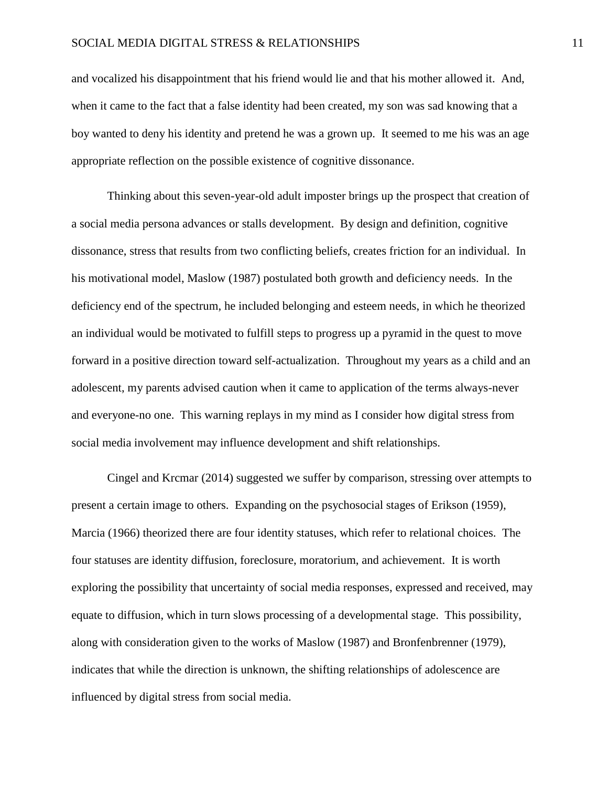## SOCIAL MEDIA DIGITAL STRESS & RELATIONSHIPS 11

and vocalized his disappointment that his friend would lie and that his mother allowed it. And, when it came to the fact that a false identity had been created, my son was sad knowing that a boy wanted to deny his identity and pretend he was a grown up. It seemed to me his was an age appropriate reflection on the possible existence of cognitive dissonance.

Thinking about this seven-year-old adult imposter brings up the prospect that creation of a social media persona advances or stalls development. By design and definition, cognitive dissonance, stress that results from two conflicting beliefs, creates friction for an individual. In his motivational model, Maslow (1987) postulated both growth and deficiency needs. In the deficiency end of the spectrum, he included belonging and esteem needs, in which he theorized an individual would be motivated to fulfill steps to progress up a pyramid in the quest to move forward in a positive direction toward self-actualization. Throughout my years as a child and an adolescent, my parents advised caution when it came to application of the terms always-never and everyone-no one. This warning replays in my mind as I consider how digital stress from social media involvement may influence development and shift relationships.

Cingel and Krcmar (2014) suggested we suffer by comparison, stressing over attempts to present a certain image to others. Expanding on the psychosocial stages of Erikson (1959), Marcia (1966) theorized there are four identity statuses, which refer to relational choices. The four statuses are identity diffusion, foreclosure, moratorium, and achievement. It is worth exploring the possibility that uncertainty of social media responses, expressed and received, may equate to diffusion, which in turn slows processing of a developmental stage. This possibility, along with consideration given to the works of Maslow (1987) and Bronfenbrenner (1979), indicates that while the direction is unknown, the shifting relationships of adolescence are influenced by digital stress from social media.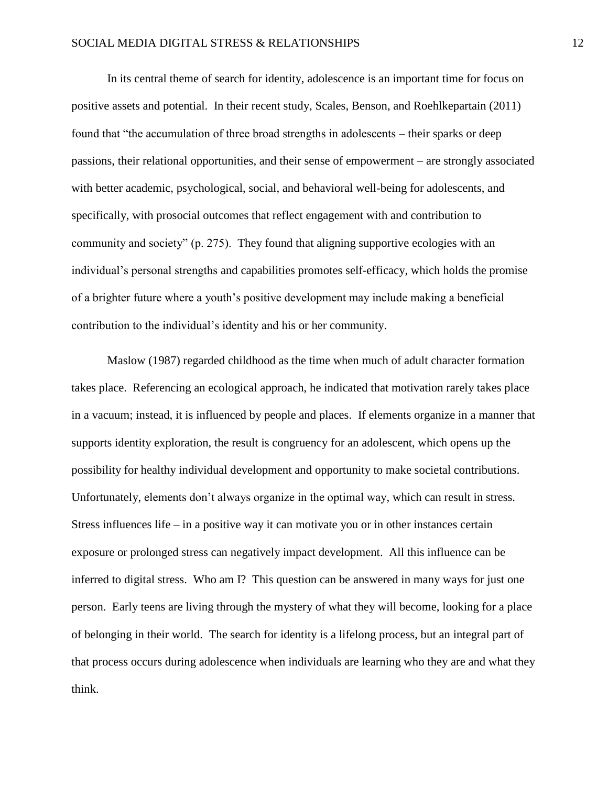In its central theme of search for identity, adolescence is an important time for focus on positive assets and potential. In their recent study, Scales, Benson, and Roehlkepartain (2011) found that "the accumulation of three broad strengths in adolescents – their sparks or deep passions, their relational opportunities, and their sense of empowerment – are strongly associated with better academic, psychological, social, and behavioral well-being for adolescents, and specifically, with prosocial outcomes that reflect engagement with and contribution to community and society" (p. 275). They found that aligning supportive ecologies with an individual's personal strengths and capabilities promotes self-efficacy, which holds the promise of a brighter future where a youth's positive development may include making a beneficial contribution to the individual's identity and his or her community.

Maslow (1987) regarded childhood as the time when much of adult character formation takes place. Referencing an ecological approach, he indicated that motivation rarely takes place in a vacuum; instead, it is influenced by people and places. If elements organize in a manner that supports identity exploration, the result is congruency for an adolescent, which opens up the possibility for healthy individual development and opportunity to make societal contributions. Unfortunately, elements don't always organize in the optimal way, which can result in stress. Stress influences life – in a positive way it can motivate you or in other instances certain exposure or prolonged stress can negatively impact development. All this influence can be inferred to digital stress. Who am I? This question can be answered in many ways for just one person. Early teens are living through the mystery of what they will become, looking for a place of belonging in their world. The search for identity is a lifelong process, but an integral part of that process occurs during adolescence when individuals are learning who they are and what they think.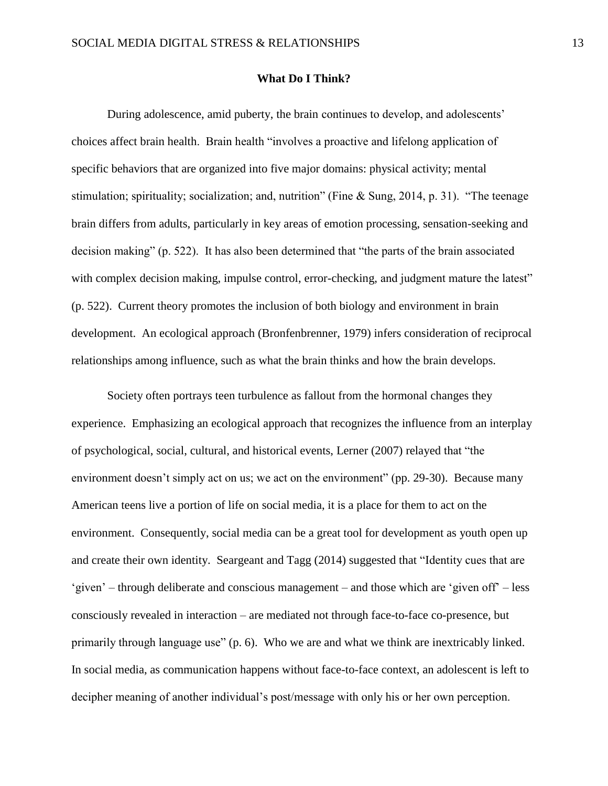## **What Do I Think?**

During adolescence, amid puberty, the brain continues to develop, and adolescents' choices affect brain health. Brain health "involves a proactive and lifelong application of specific behaviors that are organized into five major domains: physical activity; mental stimulation; spirituality; socialization; and, nutrition" (Fine & Sung, 2014, p. 31). "The teenage brain differs from adults, particularly in key areas of emotion processing, sensation-seeking and decision making" (p. 522). It has also been determined that "the parts of the brain associated with complex decision making, impulse control, error-checking, and judgment mature the latest" (p. 522). Current theory promotes the inclusion of both biology and environment in brain development. An ecological approach (Bronfenbrenner, 1979) infers consideration of reciprocal relationships among influence, such as what the brain thinks and how the brain develops.

Society often portrays teen turbulence as fallout from the hormonal changes they experience. Emphasizing an ecological approach that recognizes the influence from an interplay of psychological, social, cultural, and historical events, Lerner (2007) relayed that "the environment doesn't simply act on us; we act on the environment" (pp. 29-30). Because many American teens live a portion of life on social media, it is a place for them to act on the environment. Consequently, social media can be a great tool for development as youth open up and create their own identity. Seargeant and Tagg (2014) suggested that "Identity cues that are 'given' – through deliberate and conscious management – and those which are 'given off' – less consciously revealed in interaction – are mediated not through face-to-face co-presence, but primarily through language use" (p. 6). Who we are and what we think are inextricably linked. In social media, as communication happens without face-to-face context, an adolescent is left to decipher meaning of another individual's post/message with only his or her own perception.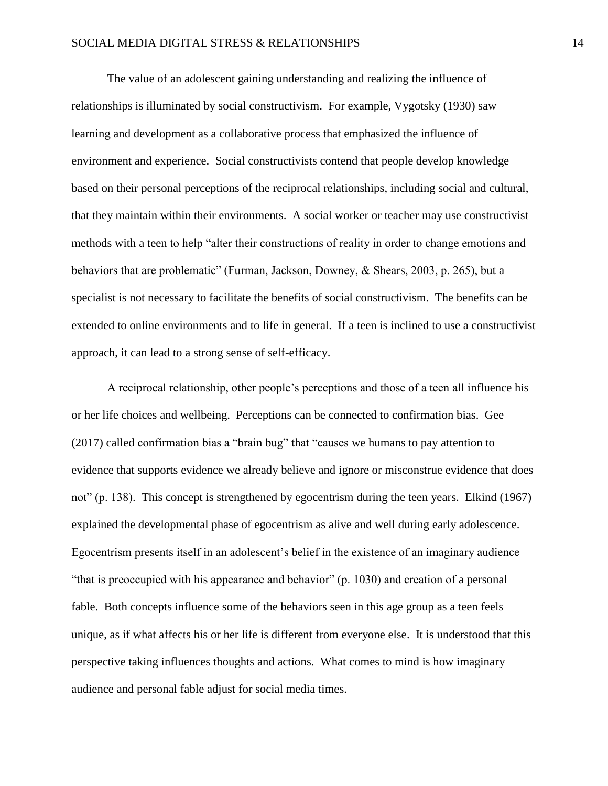The value of an adolescent gaining understanding and realizing the influence of relationships is illuminated by social constructivism. For example, Vygotsky (1930) saw learning and development as a collaborative process that emphasized the influence of environment and experience. Social constructivists contend that people develop knowledge based on their personal perceptions of the reciprocal relationships, including social and cultural, that they maintain within their environments. A social worker or teacher may use constructivist methods with a teen to help "alter their constructions of reality in order to change emotions and behaviors that are problematic" (Furman, Jackson, Downey, & Shears, 2003, p. 265), but a specialist is not necessary to facilitate the benefits of social constructivism. The benefits can be extended to online environments and to life in general. If a teen is inclined to use a constructivist approach, it can lead to a strong sense of self-efficacy.

A reciprocal relationship, other people's perceptions and those of a teen all influence his or her life choices and wellbeing. Perceptions can be connected to confirmation bias. Gee (2017) called confirmation bias a "brain bug" that "causes we humans to pay attention to evidence that supports evidence we already believe and ignore or misconstrue evidence that does not" (p. 138). This concept is strengthened by egocentrism during the teen years. Elkind (1967) explained the developmental phase of egocentrism as alive and well during early adolescence. Egocentrism presents itself in an adolescent's belief in the existence of an imaginary audience "that is preoccupied with his appearance and behavior" (p. 1030) and creation of a personal fable. Both concepts influence some of the behaviors seen in this age group as a teen feels unique, as if what affects his or her life is different from everyone else. It is understood that this perspective taking influences thoughts and actions. What comes to mind is how imaginary audience and personal fable adjust for social media times.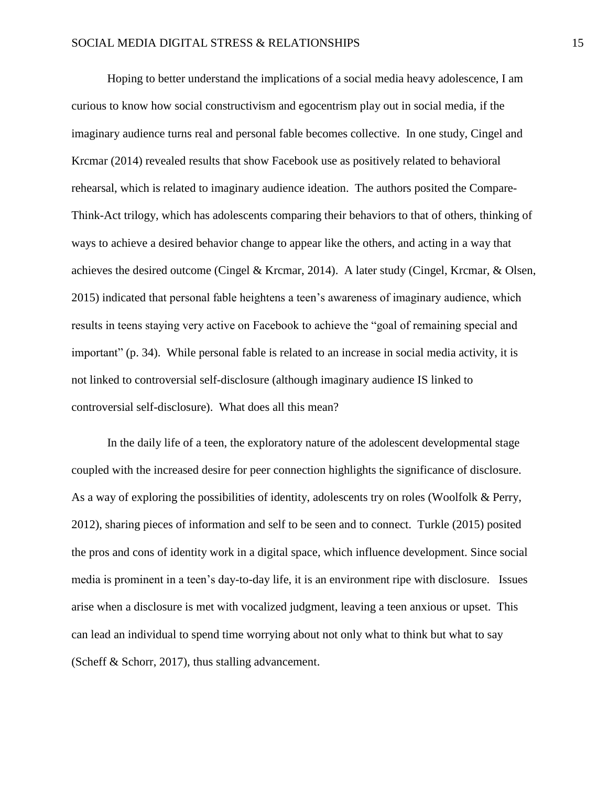Hoping to better understand the implications of a social media heavy adolescence, I am curious to know how social constructivism and egocentrism play out in social media, if the imaginary audience turns real and personal fable becomes collective. In one study, Cingel and Krcmar (2014) revealed results that show Facebook use as positively related to behavioral rehearsal, which is related to imaginary audience ideation. The authors posited the Compare-Think-Act trilogy, which has adolescents comparing their behaviors to that of others, thinking of ways to achieve a desired behavior change to appear like the others, and acting in a way that achieves the desired outcome (Cingel & Krcmar, 2014). A later study (Cingel, Krcmar, & Olsen, 2015) indicated that personal fable heightens a teen's awareness of imaginary audience, which results in teens staying very active on Facebook to achieve the "goal of remaining special and important" (p. 34). While personal fable is related to an increase in social media activity, it is not linked to controversial self-disclosure (although imaginary audience IS linked to controversial self-disclosure). What does all this mean?

In the daily life of a teen, the exploratory nature of the adolescent developmental stage coupled with the increased desire for peer connection highlights the significance of disclosure. As a way of exploring the possibilities of identity, adolescents try on roles (Woolfolk & Perry, 2012), sharing pieces of information and self to be seen and to connect. Turkle (2015) posited the pros and cons of identity work in a digital space, which influence development. Since social media is prominent in a teen's day-to-day life, it is an environment ripe with disclosure. Issues arise when a disclosure is met with vocalized judgment, leaving a teen anxious or upset. This can lead an individual to spend time worrying about not only what to think but what to say (Scheff & Schorr, 2017), thus stalling advancement.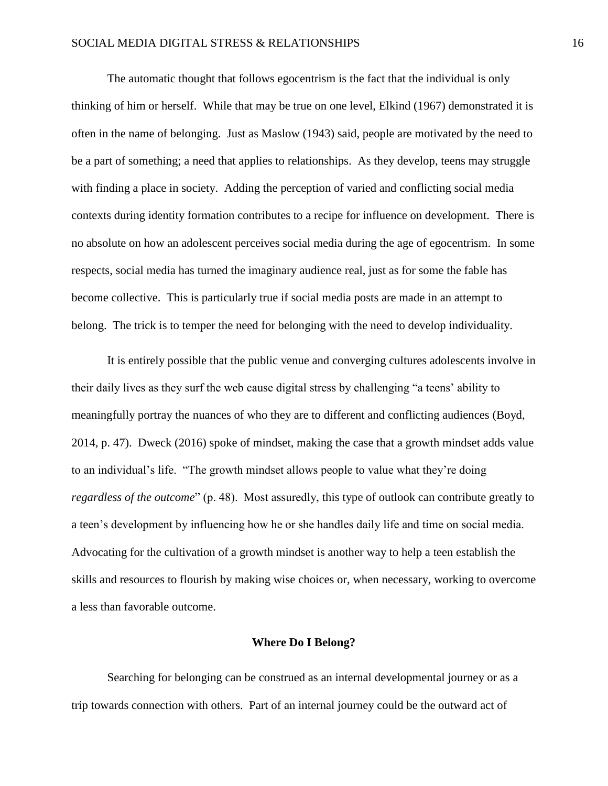The automatic thought that follows egocentrism is the fact that the individual is only thinking of him or herself. While that may be true on one level, Elkind (1967) demonstrated it is often in the name of belonging. Just as Maslow (1943) said, people are motivated by the need to be a part of something; a need that applies to relationships. As they develop, teens may struggle with finding a place in society. Adding the perception of varied and conflicting social media contexts during identity formation contributes to a recipe for influence on development. There is no absolute on how an adolescent perceives social media during the age of egocentrism. In some respects, social media has turned the imaginary audience real, just as for some the fable has become collective. This is particularly true if social media posts are made in an attempt to belong. The trick is to temper the need for belonging with the need to develop individuality.

It is entirely possible that the public venue and converging cultures adolescents involve in their daily lives as they surf the web cause digital stress by challenging "a teens' ability to meaningfully portray the nuances of who they are to different and conflicting audiences (Boyd, 2014, p. 47). Dweck (2016) spoke of mindset, making the case that a growth mindset adds value to an individual's life. "The growth mindset allows people to value what they're doing *regardless of the outcome*" (p. 48). Most assuredly, this type of outlook can contribute greatly to a teen's development by influencing how he or she handles daily life and time on social media. Advocating for the cultivation of a growth mindset is another way to help a teen establish the skills and resources to flourish by making wise choices or, when necessary, working to overcome a less than favorable outcome.

#### **Where Do I Belong?**

Searching for belonging can be construed as an internal developmental journey or as a trip towards connection with others. Part of an internal journey could be the outward act of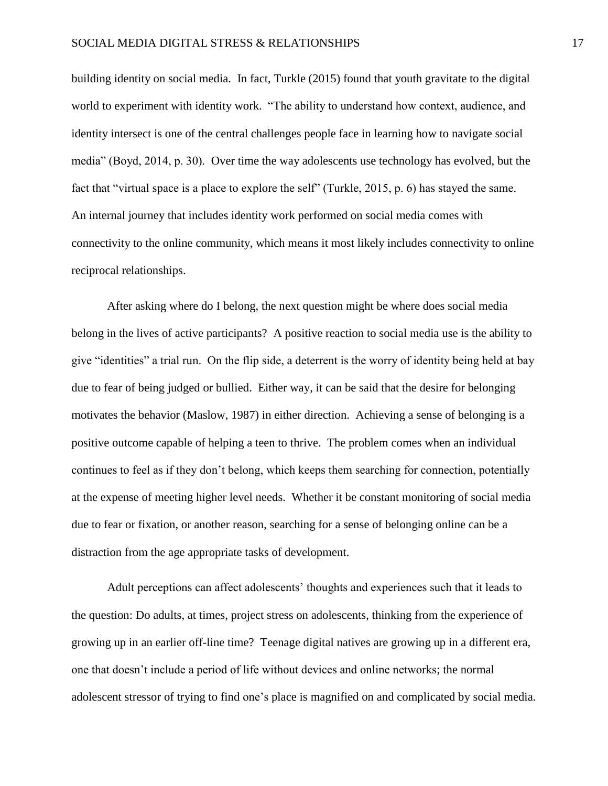building identity on social media. In fact, Turkle (2015) found that youth gravitate to the digital world to experiment with identity work. "The ability to understand how context, audience, and identity intersect is one of the central challenges people face in learning how to navigate social media" (Boyd, 2014, p. 30). Over time the way adolescents use technology has evolved, but the fact that "virtual space is a place to explore the self" (Turkle, 2015, p. 6) has stayed the same. An internal journey that includes identity work performed on social media comes with connectivity to the online community, which means it most likely includes connectivity to online reciprocal relationships.

After asking where do I belong, the next question might be where does social media belong in the lives of active participants? A positive reaction to social media use is the ability to give "identities" a trial run. On the flip side, a deterrent is the worry of identity being held at bay due to fear of being judged or bullied. Either way, it can be said that the desire for belonging motivates the behavior (Maslow, 1987) in either direction. Achieving a sense of belonging is a positive outcome capable of helping a teen to thrive. The problem comes when an individual continues to feel as if they don't belong, which keeps them searching for connection, potentially at the expense of meeting higher level needs. Whether it be constant monitoring of social media due to fear or fixation, or another reason, searching for a sense of belonging online can be a distraction from the age appropriate tasks of development.

Adult perceptions can affect adolescents' thoughts and experiences such that it leads to the question: Do adults, at times, project stress on adolescents, thinking from the experience of growing up in an earlier off-line time? Teenage digital natives are growing up in a different era, one that doesn't include a period of life without devices and online networks; the normal adolescent stressor of trying to find one's place is magnified on and complicated by social media.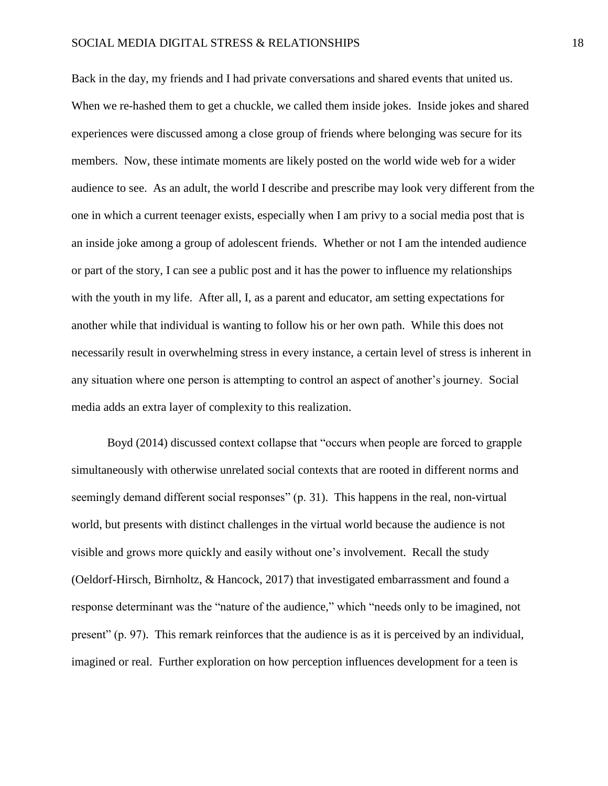Back in the day, my friends and I had private conversations and shared events that united us. When we re-hashed them to get a chuckle, we called them inside jokes. Inside jokes and shared experiences were discussed among a close group of friends where belonging was secure for its members. Now, these intimate moments are likely posted on the world wide web for a wider audience to see. As an adult, the world I describe and prescribe may look very different from the one in which a current teenager exists, especially when I am privy to a social media post that is an inside joke among a group of adolescent friends. Whether or not I am the intended audience or part of the story, I can see a public post and it has the power to influence my relationships with the youth in my life. After all, I, as a parent and educator, am setting expectations for another while that individual is wanting to follow his or her own path. While this does not necessarily result in overwhelming stress in every instance, a certain level of stress is inherent in any situation where one person is attempting to control an aspect of another's journey. Social media adds an extra layer of complexity to this realization.

Boyd (2014) discussed context collapse that "occurs when people are forced to grapple simultaneously with otherwise unrelated social contexts that are rooted in different norms and seemingly demand different social responses" (p. 31). This happens in the real, non-virtual world, but presents with distinct challenges in the virtual world because the audience is not visible and grows more quickly and easily without one's involvement. Recall the study (Oeldorf-Hirsch, Birnholtz, & Hancock, 2017) that investigated embarrassment and found a response determinant was the "nature of the audience," which "needs only to be imagined, not present" (p. 97). This remark reinforces that the audience is as it is perceived by an individual, imagined or real. Further exploration on how perception influences development for a teen is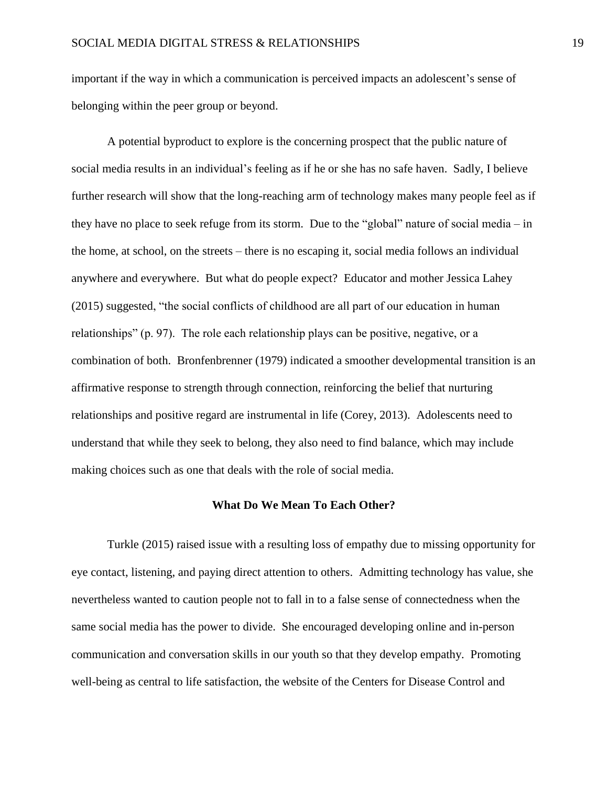important if the way in which a communication is perceived impacts an adolescent's sense of belonging within the peer group or beyond.

A potential byproduct to explore is the concerning prospect that the public nature of social media results in an individual's feeling as if he or she has no safe haven. Sadly, I believe further research will show that the long-reaching arm of technology makes many people feel as if they have no place to seek refuge from its storm. Due to the "global" nature of social media – in the home, at school, on the streets – there is no escaping it, social media follows an individual anywhere and everywhere. But what do people expect? Educator and mother Jessica Lahey (2015) suggested, "the social conflicts of childhood are all part of our education in human relationships" (p. 97). The role each relationship plays can be positive, negative, or a combination of both. Bronfenbrenner (1979) indicated a smoother developmental transition is an affirmative response to strength through connection, reinforcing the belief that nurturing relationships and positive regard are instrumental in life (Corey, 2013). Adolescents need to understand that while they seek to belong, they also need to find balance, which may include making choices such as one that deals with the role of social media.

#### **What Do We Mean To Each Other?**

Turkle (2015) raised issue with a resulting loss of empathy due to missing opportunity for eye contact, listening, and paying direct attention to others. Admitting technology has value, she nevertheless wanted to caution people not to fall in to a false sense of connectedness when the same social media has the power to divide. She encouraged developing online and in-person communication and conversation skills in our youth so that they develop empathy. Promoting well-being as central to life satisfaction, the website of the Centers for Disease Control and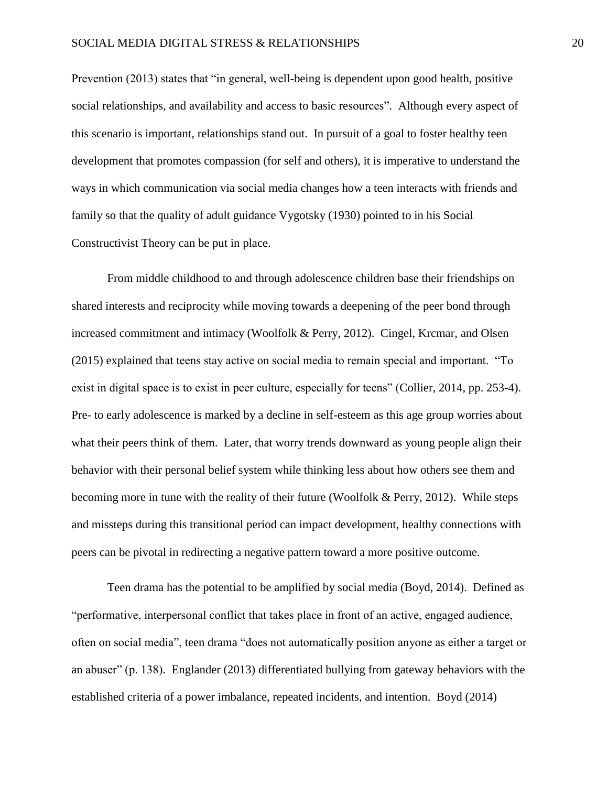Prevention (2013) states that "in general, well-being is dependent upon good health, positive social relationships, and availability and access to basic resources". Although every aspect of this scenario is important, relationships stand out. In pursuit of a goal to foster healthy teen development that promotes compassion (for self and others), it is imperative to understand the ways in which communication via social media changes how a teen interacts with friends and family so that the quality of adult guidance Vygotsky (1930) pointed to in his Social Constructivist Theory can be put in place.

From middle childhood to and through adolescence children base their friendships on shared interests and reciprocity while moving towards a deepening of the peer bond through increased commitment and intimacy (Woolfolk & Perry, 2012). Cingel, Krcmar, and Olsen (2015) explained that teens stay active on social media to remain special and important. "To exist in digital space is to exist in peer culture, especially for teens" (Collier, 2014, pp. 253-4). Pre- to early adolescence is marked by a decline in self-esteem as this age group worries about what their peers think of them. Later, that worry trends downward as young people align their behavior with their personal belief system while thinking less about how others see them and becoming more in tune with the reality of their future (Woolfolk & Perry, 2012). While steps and missteps during this transitional period can impact development, healthy connections with peers can be pivotal in redirecting a negative pattern toward a more positive outcome.

Teen drama has the potential to be amplified by social media (Boyd, 2014). Defined as "performative, interpersonal conflict that takes place in front of an active, engaged audience, often on social media", teen drama "does not automatically position anyone as either a target or an abuser" (p. 138). Englander (2013) differentiated bullying from gateway behaviors with the established criteria of a power imbalance, repeated incidents, and intention. Boyd (2014)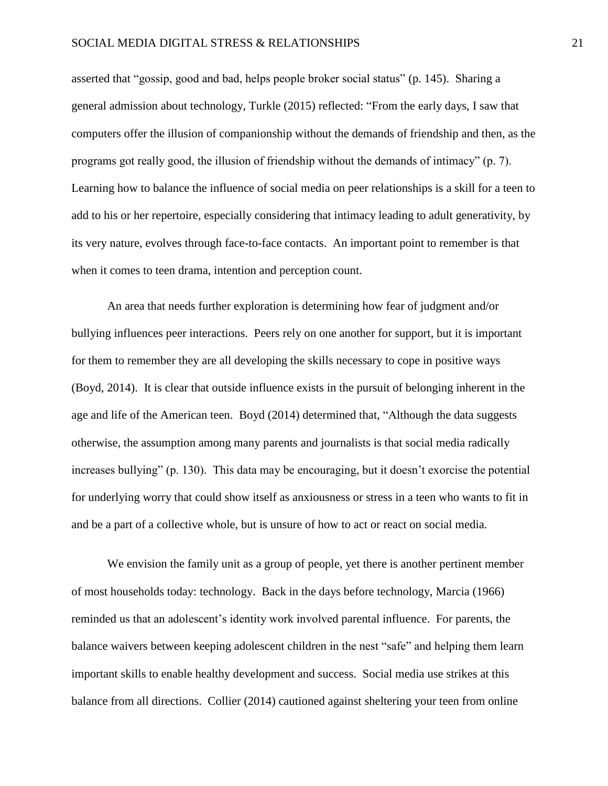asserted that "gossip, good and bad, helps people broker social status" (p. 145). Sharing a general admission about technology, Turkle (2015) reflected: "From the early days, I saw that computers offer the illusion of companionship without the demands of friendship and then, as the programs got really good, the illusion of friendship without the demands of intimacy" (p. 7). Learning how to balance the influence of social media on peer relationships is a skill for a teen to add to his or her repertoire, especially considering that intimacy leading to adult generativity, by its very nature, evolves through face-to-face contacts. An important point to remember is that when it comes to teen drama, intention and perception count.

An area that needs further exploration is determining how fear of judgment and/or bullying influences peer interactions. Peers rely on one another for support, but it is important for them to remember they are all developing the skills necessary to cope in positive ways (Boyd, 2014). It is clear that outside influence exists in the pursuit of belonging inherent in the age and life of the American teen. Boyd (2014) determined that, "Although the data suggests otherwise, the assumption among many parents and journalists is that social media radically increases bullying" (p. 130). This data may be encouraging, but it doesn't exorcise the potential for underlying worry that could show itself as anxiousness or stress in a teen who wants to fit in and be a part of a collective whole, but is unsure of how to act or react on social media.

We envision the family unit as a group of people, yet there is another pertinent member of most households today: technology. Back in the days before technology, Marcia (1966) reminded us that an adolescent's identity work involved parental influence. For parents, the balance waivers between keeping adolescent children in the nest "safe" and helping them learn important skills to enable healthy development and success. Social media use strikes at this balance from all directions. Collier (2014) cautioned against sheltering your teen from online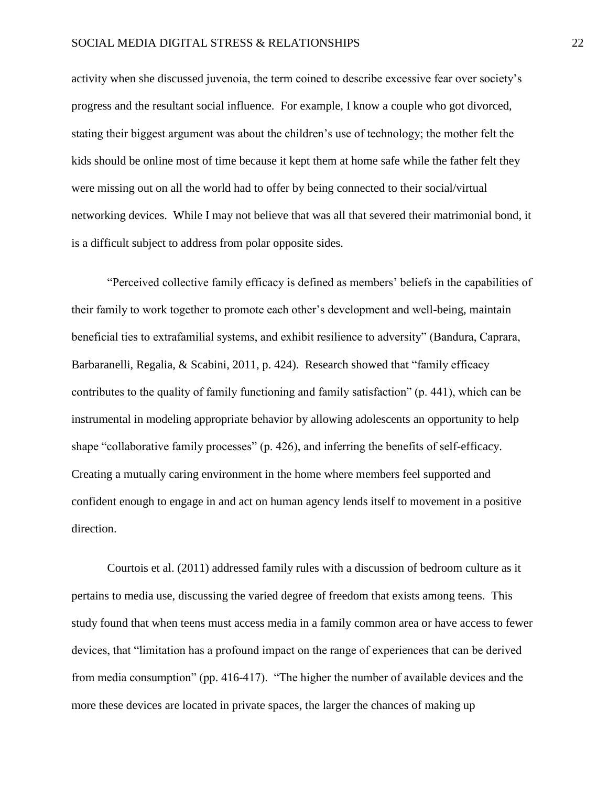## SOCIAL MEDIA DIGITAL STRESS & RELATIONSHIPS 22

activity when she discussed juvenoia, the term coined to describe excessive fear over society's progress and the resultant social influence. For example, I know a couple who got divorced, stating their biggest argument was about the children's use of technology; the mother felt the kids should be online most of time because it kept them at home safe while the father felt they were missing out on all the world had to offer by being connected to their social/virtual networking devices. While I may not believe that was all that severed their matrimonial bond, it is a difficult subject to address from polar opposite sides.

"Perceived collective family efficacy is defined as members' beliefs in the capabilities of their family to work together to promote each other's development and well-being, maintain beneficial ties to extrafamilial systems, and exhibit resilience to adversity" (Bandura, Caprara, Barbaranelli, Regalia, & Scabini, 2011, p. 424). Research showed that "family efficacy contributes to the quality of family functioning and family satisfaction" (p. 441), which can be instrumental in modeling appropriate behavior by allowing adolescents an opportunity to help shape "collaborative family processes" (p. 426), and inferring the benefits of self-efficacy. Creating a mutually caring environment in the home where members feel supported and confident enough to engage in and act on human agency lends itself to movement in a positive direction.

Courtois et al. (2011) addressed family rules with a discussion of bedroom culture as it pertains to media use, discussing the varied degree of freedom that exists among teens. This study found that when teens must access media in a family common area or have access to fewer devices, that "limitation has a profound impact on the range of experiences that can be derived from media consumption" (pp. 416-417). "The higher the number of available devices and the more these devices are located in private spaces, the larger the chances of making up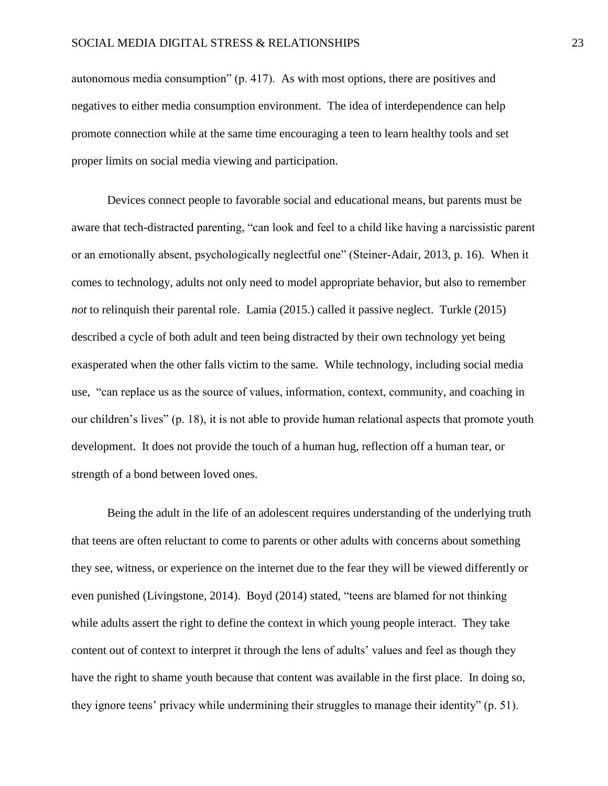autonomous media consumption" (p. 417). As with most options, there are positives and negatives to either media consumption environment. The idea of interdependence can help promote connection while at the same time encouraging a teen to learn healthy tools and set proper limits on social media viewing and participation.

Devices connect people to favorable social and educational means, but parents must be aware that tech-distracted parenting, "can look and feel to a child like having a narcissistic parent or an emotionally absent, psychologically neglectful one" (Steiner-Adair, 2013, p. 16). When it comes to technology, adults not only need to model appropriate behavior, but also to remember *not* to relinquish their parental role. Lamia (2015.) called it passive neglect. Turkle (2015) described a cycle of both adult and teen being distracted by their own technology yet being exasperated when the other falls victim to the same. While technology, including social media use, "can replace us as the source of values, information, context, community, and coaching in our children's lives" (p. 18), it is not able to provide human relational aspects that promote youth development. It does not provide the touch of a human hug, reflection off a human tear, or strength of a bond between loved ones.

Being the adult in the life of an adolescent requires understanding of the underlying truth that teens are often reluctant to come to parents or other adults with concerns about something they see, witness, or experience on the internet due to the fear they will be viewed differently or even punished (Livingstone, 2014). Boyd (2014) stated, "teens are blamed for not thinking while adults assert the right to define the context in which young people interact. They take content out of context to interpret it through the lens of adults' values and feel as though they have the right to shame youth because that content was available in the first place. In doing so, they ignore teens' privacy while undermining their struggles to manage their identity" (p. 51).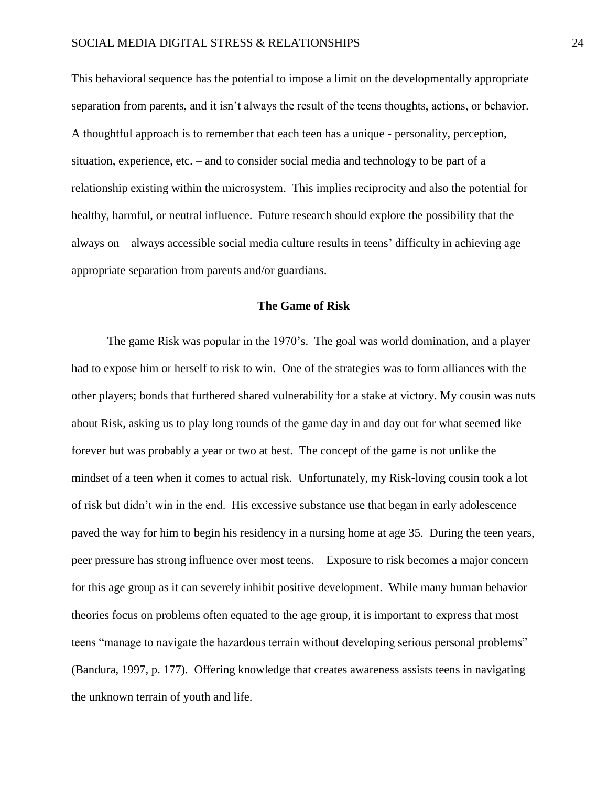This behavioral sequence has the potential to impose a limit on the developmentally appropriate separation from parents, and it isn't always the result of the teens thoughts, actions, or behavior. A thoughtful approach is to remember that each teen has a unique - personality, perception, situation, experience, etc. – and to consider social media and technology to be part of a relationship existing within the microsystem. This implies reciprocity and also the potential for healthy, harmful, or neutral influence. Future research should explore the possibility that the always on – always accessible social media culture results in teens' difficulty in achieving age appropriate separation from parents and/or guardians.

# **The Game of Risk**

The game Risk was popular in the 1970's. The goal was world domination, and a player had to expose him or herself to risk to win. One of the strategies was to form alliances with the other players; bonds that furthered shared vulnerability for a stake at victory. My cousin was nuts about Risk, asking us to play long rounds of the game day in and day out for what seemed like forever but was probably a year or two at best. The concept of the game is not unlike the mindset of a teen when it comes to actual risk. Unfortunately, my Risk-loving cousin took a lot of risk but didn't win in the end. His excessive substance use that began in early adolescence paved the way for him to begin his residency in a nursing home at age 35. During the teen years, peer pressure has strong influence over most teens. Exposure to risk becomes a major concern for this age group as it can severely inhibit positive development. While many human behavior theories focus on problems often equated to the age group, it is important to express that most teens "manage to navigate the hazardous terrain without developing serious personal problems" (Bandura, 1997, p. 177). Offering knowledge that creates awareness assists teens in navigating the unknown terrain of youth and life.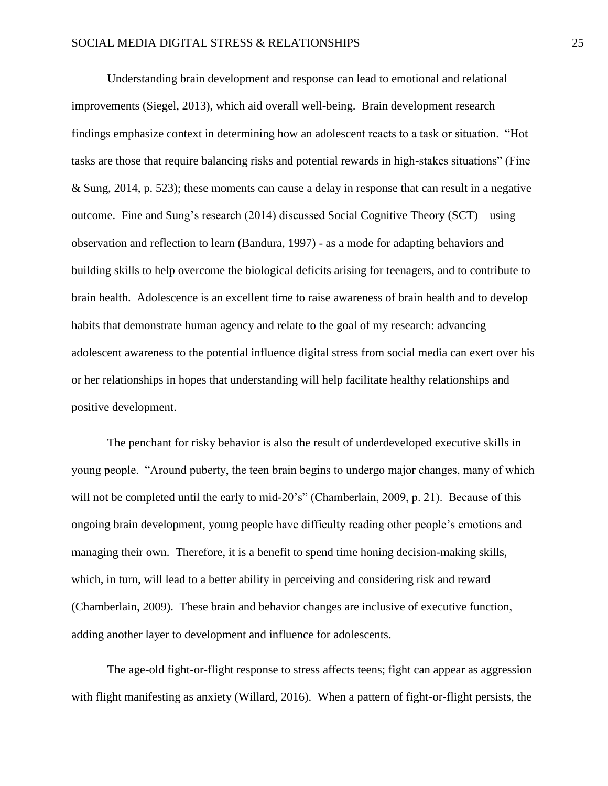Understanding brain development and response can lead to emotional and relational improvements (Siegel, 2013), which aid overall well-being. Brain development research findings emphasize context in determining how an adolescent reacts to a task or situation. "Hot tasks are those that require balancing risks and potential rewards in high-stakes situations" (Fine & Sung, 2014, p. 523); these moments can cause a delay in response that can result in a negative outcome. Fine and Sung's research (2014) discussed Social Cognitive Theory (SCT) – using observation and reflection to learn (Bandura, 1997) - as a mode for adapting behaviors and building skills to help overcome the biological deficits arising for teenagers, and to contribute to brain health. Adolescence is an excellent time to raise awareness of brain health and to develop habits that demonstrate human agency and relate to the goal of my research: advancing adolescent awareness to the potential influence digital stress from social media can exert over his or her relationships in hopes that understanding will help facilitate healthy relationships and positive development.

The penchant for risky behavior is also the result of underdeveloped executive skills in young people. "Around puberty, the teen brain begins to undergo major changes, many of which will not be completed until the early to mid-20's" (Chamberlain, 2009, p. 21). Because of this ongoing brain development, young people have difficulty reading other people's emotions and managing their own. Therefore, it is a benefit to spend time honing decision-making skills, which, in turn, will lead to a better ability in perceiving and considering risk and reward (Chamberlain, 2009). These brain and behavior changes are inclusive of executive function, adding another layer to development and influence for adolescents.

The age-old fight-or-flight response to stress affects teens; fight can appear as aggression with flight manifesting as anxiety (Willard, 2016). When a pattern of fight-or-flight persists, the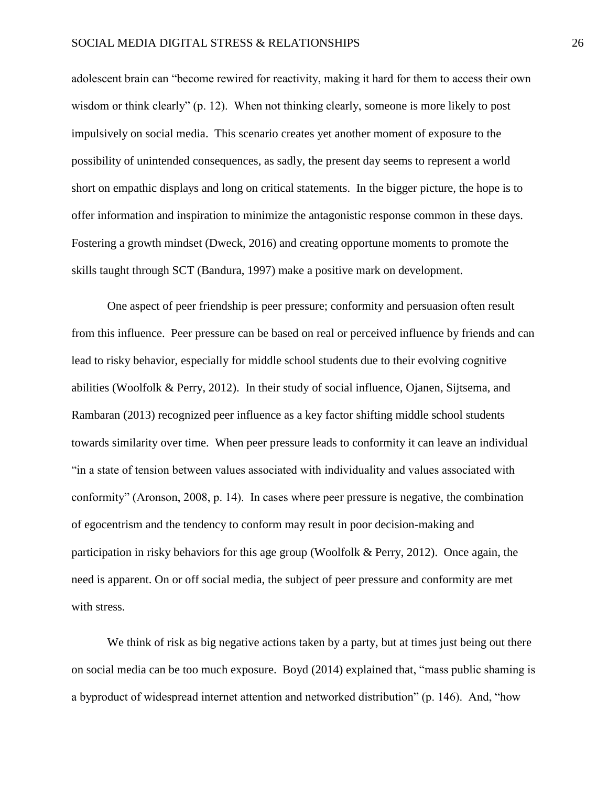adolescent brain can "become rewired for reactivity, making it hard for them to access their own wisdom or think clearly" (p. 12). When not thinking clearly, someone is more likely to post impulsively on social media. This scenario creates yet another moment of exposure to the possibility of unintended consequences, as sadly, the present day seems to represent a world short on empathic displays and long on critical statements. In the bigger picture, the hope is to offer information and inspiration to minimize the antagonistic response common in these days. Fostering a growth mindset (Dweck, 2016) and creating opportune moments to promote the skills taught through SCT (Bandura, 1997) make a positive mark on development.

One aspect of peer friendship is peer pressure; conformity and persuasion often result from this influence. Peer pressure can be based on real or perceived influence by friends and can lead to risky behavior, especially for middle school students due to their evolving cognitive abilities (Woolfolk & Perry, 2012). In their study of social influence, Ojanen, Sijtsema, and Rambaran (2013) recognized peer influence as a key factor shifting middle school students towards similarity over time. When peer pressure leads to conformity it can leave an individual "in a state of tension between values associated with individuality and values associated with conformity" (Aronson, 2008, p. 14). In cases where peer pressure is negative, the combination of egocentrism and the tendency to conform may result in poor decision-making and participation in risky behaviors for this age group (Woolfolk & Perry, 2012). Once again, the need is apparent. On or off social media, the subject of peer pressure and conformity are met with stress.

We think of risk as big negative actions taken by a party, but at times just being out there on social media can be too much exposure. Boyd (2014) explained that, "mass public shaming is a byproduct of widespread internet attention and networked distribution" (p. 146). And, "how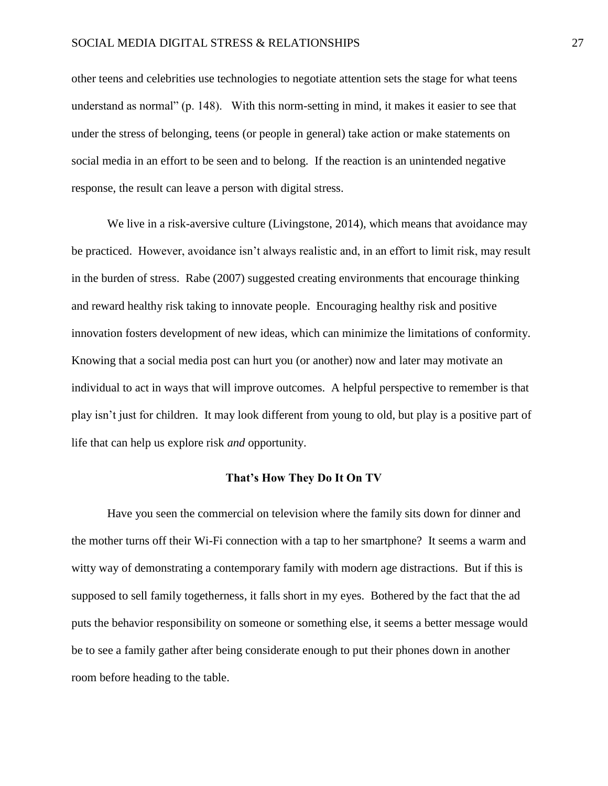other teens and celebrities use technologies to negotiate attention sets the stage for what teens understand as normal" (p. 148). With this norm-setting in mind, it makes it easier to see that under the stress of belonging, teens (or people in general) take action or make statements on social media in an effort to be seen and to belong. If the reaction is an unintended negative response, the result can leave a person with digital stress.

We live in a risk-aversive culture (Livingstone, 2014), which means that avoidance may be practiced. However, avoidance isn't always realistic and, in an effort to limit risk, may result in the burden of stress. Rabe (2007) suggested creating environments that encourage thinking and reward healthy risk taking to innovate people. Encouraging healthy risk and positive innovation fosters development of new ideas, which can minimize the limitations of conformity. Knowing that a social media post can hurt you (or another) now and later may motivate an individual to act in ways that will improve outcomes. A helpful perspective to remember is that play isn't just for children. It may look different from young to old, but play is a positive part of life that can help us explore risk *and* opportunity.

## **That's How They Do It On TV**

Have you seen the commercial on television where the family sits down for dinner and the mother turns off their Wi-Fi connection with a tap to her smartphone? It seems a warm and witty way of demonstrating a contemporary family with modern age distractions. But if this is supposed to sell family togetherness, it falls short in my eyes. Bothered by the fact that the ad puts the behavior responsibility on someone or something else, it seems a better message would be to see a family gather after being considerate enough to put their phones down in another room before heading to the table.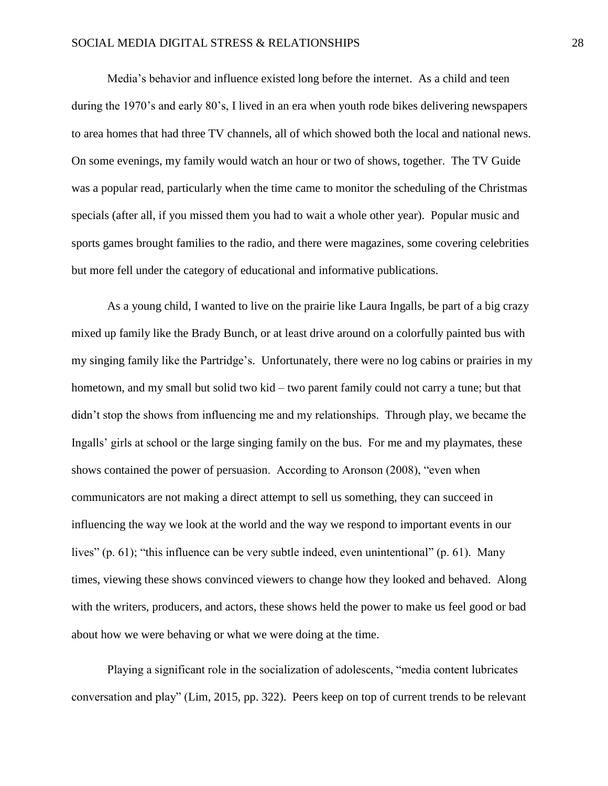## SOCIAL MEDIA DIGITAL STRESS & RELATIONSHIPS 28

Media's behavior and influence existed long before the internet. As a child and teen during the 1970's and early 80's, I lived in an era when youth rode bikes delivering newspapers to area homes that had three TV channels, all of which showed both the local and national news. On some evenings, my family would watch an hour or two of shows, together. The TV Guide was a popular read, particularly when the time came to monitor the scheduling of the Christmas specials (after all, if you missed them you had to wait a whole other year). Popular music and sports games brought families to the radio, and there were magazines, some covering celebrities but more fell under the category of educational and informative publications.

As a young child, I wanted to live on the prairie like Laura Ingalls, be part of a big crazy mixed up family like the Brady Bunch, or at least drive around on a colorfully painted bus with my singing family like the Partridge's. Unfortunately, there were no log cabins or prairies in my hometown, and my small but solid two kid – two parent family could not carry a tune; but that didn't stop the shows from influencing me and my relationships. Through play, we became the Ingalls' girls at school or the large singing family on the bus. For me and my playmates, these shows contained the power of persuasion. According to Aronson (2008), "even when communicators are not making a direct attempt to sell us something, they can succeed in influencing the way we look at the world and the way we respond to important events in our lives" (p. 61); "this influence can be very subtle indeed, even unintentional" (p. 61). Many times, viewing these shows convinced viewers to change how they looked and behaved. Along with the writers, producers, and actors, these shows held the power to make us feel good or bad about how we were behaving or what we were doing at the time.

Playing a significant role in the socialization of adolescents, "media content lubricates conversation and play" (Lim, 2015, pp. 322). Peers keep on top of current trends to be relevant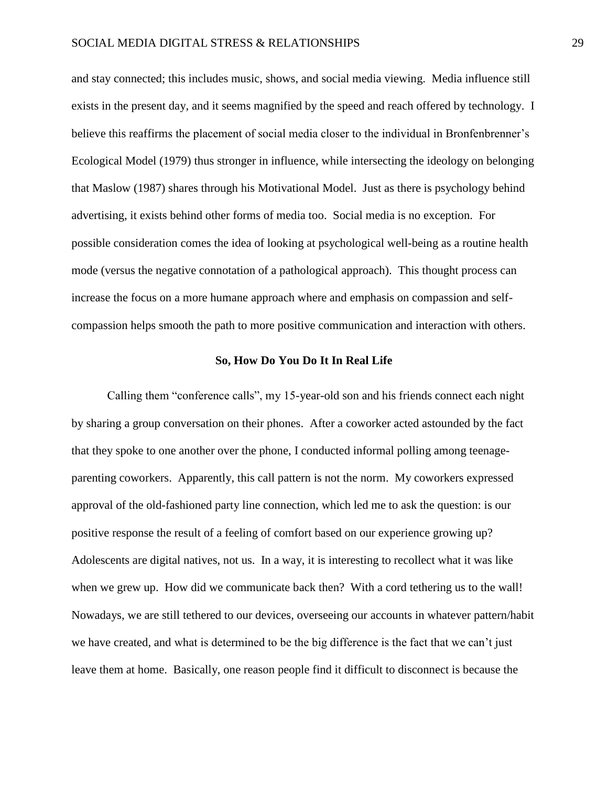and stay connected; this includes music, shows, and social media viewing. Media influence still exists in the present day, and it seems magnified by the speed and reach offered by technology. I believe this reaffirms the placement of social media closer to the individual in Bronfenbrenner's Ecological Model (1979) thus stronger in influence, while intersecting the ideology on belonging that Maslow (1987) shares through his Motivational Model. Just as there is psychology behind advertising, it exists behind other forms of media too. Social media is no exception. For possible consideration comes the idea of looking at psychological well-being as a routine health mode (versus the negative connotation of a pathological approach). This thought process can increase the focus on a more humane approach where and emphasis on compassion and selfcompassion helps smooth the path to more positive communication and interaction with others.

## **So, How Do You Do It In Real Life**

Calling them "conference calls", my 15-year-old son and his friends connect each night by sharing a group conversation on their phones. After a coworker acted astounded by the fact that they spoke to one another over the phone, I conducted informal polling among teenageparenting coworkers. Apparently, this call pattern is not the norm. My coworkers expressed approval of the old-fashioned party line connection, which led me to ask the question: is our positive response the result of a feeling of comfort based on our experience growing up? Adolescents are digital natives, not us. In a way, it is interesting to recollect what it was like when we grew up. How did we communicate back then? With a cord tethering us to the wall! Nowadays, we are still tethered to our devices, overseeing our accounts in whatever pattern/habit we have created, and what is determined to be the big difference is the fact that we can't just leave them at home. Basically, one reason people find it difficult to disconnect is because the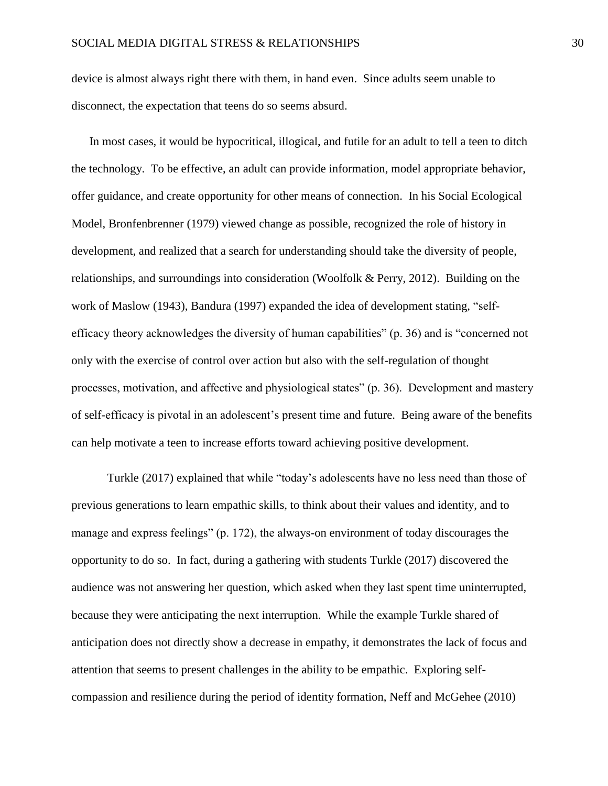device is almost always right there with them, in hand even. Since adults seem unable to disconnect, the expectation that teens do so seems absurd.

In most cases, it would be hypocritical, illogical, and futile for an adult to tell a teen to ditch the technology. To be effective, an adult can provide information, model appropriate behavior, offer guidance, and create opportunity for other means of connection. In his Social Ecological Model, Bronfenbrenner (1979) viewed change as possible, recognized the role of history in development, and realized that a search for understanding should take the diversity of people, relationships, and surroundings into consideration (Woolfolk & Perry, 2012). Building on the work of Maslow (1943), Bandura (1997) expanded the idea of development stating, "selfefficacy theory acknowledges the diversity of human capabilities" (p. 36) and is "concerned not only with the exercise of control over action but also with the self-regulation of thought processes, motivation, and affective and physiological states" (p. 36). Development and mastery of self-efficacy is pivotal in an adolescent's present time and future. Being aware of the benefits can help motivate a teen to increase efforts toward achieving positive development.

Turkle (2017) explained that while "today's adolescents have no less need than those of previous generations to learn empathic skills, to think about their values and identity, and to manage and express feelings" (p. 172), the always-on environment of today discourages the opportunity to do so. In fact, during a gathering with students Turkle (2017) discovered the audience was not answering her question, which asked when they last spent time uninterrupted, because they were anticipating the next interruption. While the example Turkle shared of anticipation does not directly show a decrease in empathy, it demonstrates the lack of focus and attention that seems to present challenges in the ability to be empathic. Exploring selfcompassion and resilience during the period of identity formation, Neff and McGehee (2010)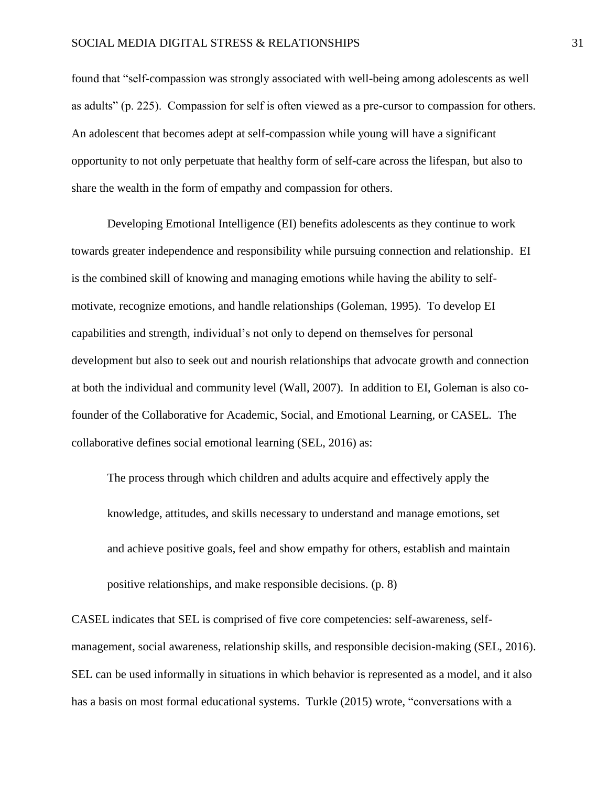found that "self-compassion was strongly associated with well-being among adolescents as well as adults" (p. 225). Compassion for self is often viewed as a pre-cursor to compassion for others. An adolescent that becomes adept at self-compassion while young will have a significant opportunity to not only perpetuate that healthy form of self-care across the lifespan, but also to share the wealth in the form of empathy and compassion for others.

Developing Emotional Intelligence (EI) benefits adolescents as they continue to work towards greater independence and responsibility while pursuing connection and relationship. EI is the combined skill of knowing and managing emotions while having the ability to selfmotivate, recognize emotions, and handle relationships (Goleman, 1995). To develop EI capabilities and strength, individual's not only to depend on themselves for personal development but also to seek out and nourish relationships that advocate growth and connection at both the individual and community level (Wall, 2007). In addition to EI, Goleman is also cofounder of the Collaborative for Academic, Social, and Emotional Learning, or CASEL. The collaborative defines social emotional learning (SEL, 2016) as:

The process through which children and adults acquire and effectively apply the knowledge, attitudes, and skills necessary to understand and manage emotions, set and achieve positive goals, feel and show empathy for others, establish and maintain positive relationships, and make responsible decisions. (p. 8)

CASEL indicates that SEL is comprised of five core competencies: self-awareness, selfmanagement, social awareness, relationship skills, and responsible decision-making (SEL, 2016). SEL can be used informally in situations in which behavior is represented as a model, and it also has a basis on most formal educational systems. Turkle (2015) wrote, "conversations with a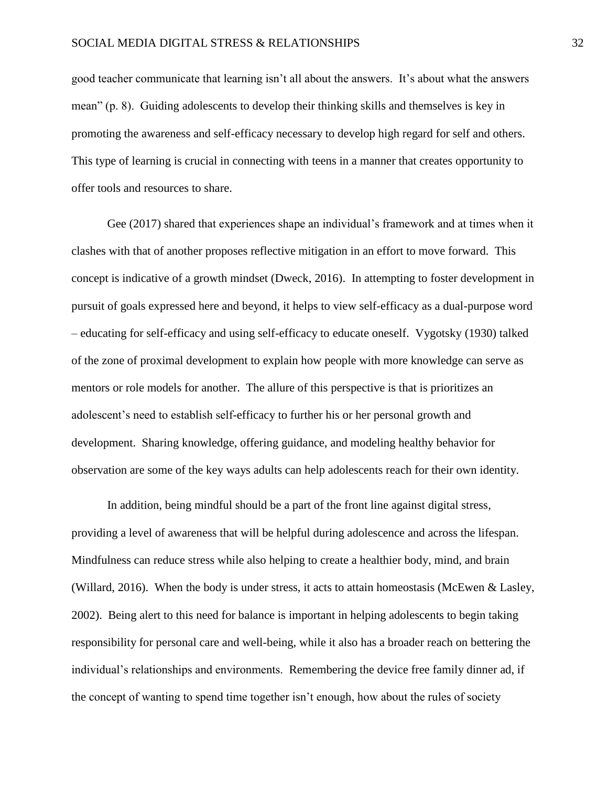good teacher communicate that learning isn't all about the answers. It's about what the answers mean" (p. 8). Guiding adolescents to develop their thinking skills and themselves is key in promoting the awareness and self-efficacy necessary to develop high regard for self and others. This type of learning is crucial in connecting with teens in a manner that creates opportunity to offer tools and resources to share.

Gee (2017) shared that experiences shape an individual's framework and at times when it clashes with that of another proposes reflective mitigation in an effort to move forward. This concept is indicative of a growth mindset (Dweck, 2016). In attempting to foster development in pursuit of goals expressed here and beyond, it helps to view self-efficacy as a dual-purpose word – educating for self-efficacy and using self-efficacy to educate oneself. Vygotsky (1930) talked of the zone of proximal development to explain how people with more knowledge can serve as mentors or role models for another. The allure of this perspective is that is prioritizes an adolescent's need to establish self-efficacy to further his or her personal growth and development. Sharing knowledge, offering guidance, and modeling healthy behavior for observation are some of the key ways adults can help adolescents reach for their own identity.

In addition, being mindful should be a part of the front line against digital stress, providing a level of awareness that will be helpful during adolescence and across the lifespan. Mindfulness can reduce stress while also helping to create a healthier body, mind, and brain (Willard, 2016). When the body is under stress, it acts to attain homeostasis (McEwen & Lasley, 2002). Being alert to this need for balance is important in helping adolescents to begin taking responsibility for personal care and well-being, while it also has a broader reach on bettering the individual's relationships and environments. Remembering the device free family dinner ad, if the concept of wanting to spend time together isn't enough, how about the rules of society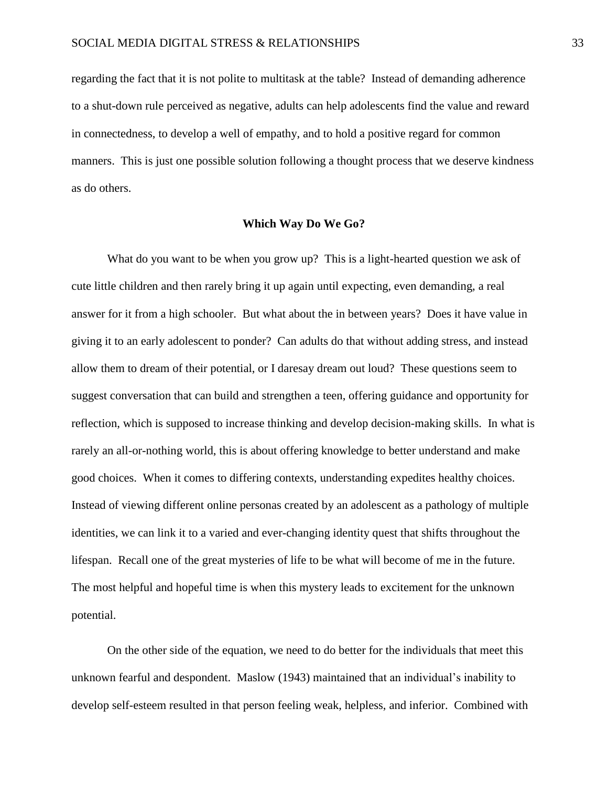regarding the fact that it is not polite to multitask at the table? Instead of demanding adherence to a shut-down rule perceived as negative, adults can help adolescents find the value and reward in connectedness, to develop a well of empathy, and to hold a positive regard for common manners. This is just one possible solution following a thought process that we deserve kindness as do others.

# **Which Way Do We Go?**

What do you want to be when you grow up? This is a light-hearted question we ask of cute little children and then rarely bring it up again until expecting, even demanding, a real answer for it from a high schooler. But what about the in between years? Does it have value in giving it to an early adolescent to ponder? Can adults do that without adding stress, and instead allow them to dream of their potential, or I daresay dream out loud? These questions seem to suggest conversation that can build and strengthen a teen, offering guidance and opportunity for reflection, which is supposed to increase thinking and develop decision-making skills. In what is rarely an all-or-nothing world, this is about offering knowledge to better understand and make good choices. When it comes to differing contexts, understanding expedites healthy choices. Instead of viewing different online personas created by an adolescent as a pathology of multiple identities, we can link it to a varied and ever-changing identity quest that shifts throughout the lifespan. Recall one of the great mysteries of life to be what will become of me in the future. The most helpful and hopeful time is when this mystery leads to excitement for the unknown potential.

On the other side of the equation, we need to do better for the individuals that meet this unknown fearful and despondent. Maslow (1943) maintained that an individual's inability to develop self-esteem resulted in that person feeling weak, helpless, and inferior. Combined with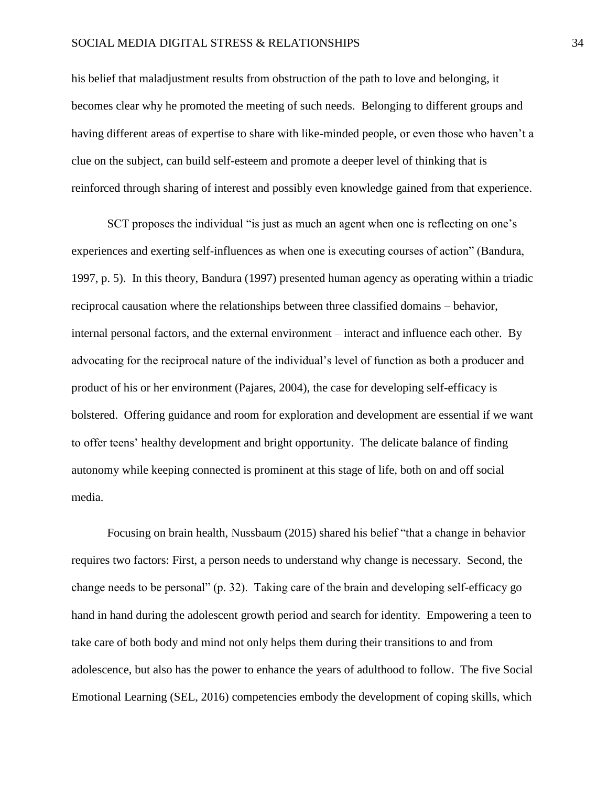## SOCIAL MEDIA DIGITAL STRESS & RELATIONSHIPS 34

his belief that maladjustment results from obstruction of the path to love and belonging, it becomes clear why he promoted the meeting of such needs. Belonging to different groups and having different areas of expertise to share with like-minded people, or even those who haven't a clue on the subject, can build self-esteem and promote a deeper level of thinking that is reinforced through sharing of interest and possibly even knowledge gained from that experience.

SCT proposes the individual "is just as much an agent when one is reflecting on one's experiences and exerting self-influences as when one is executing courses of action" (Bandura, 1997, p. 5). In this theory, Bandura (1997) presented human agency as operating within a triadic reciprocal causation where the relationships between three classified domains – behavior, internal personal factors, and the external environment – interact and influence each other. By advocating for the reciprocal nature of the individual's level of function as both a producer and product of his or her environment (Pajares, 2004), the case for developing self-efficacy is bolstered. Offering guidance and room for exploration and development are essential if we want to offer teens' healthy development and bright opportunity. The delicate balance of finding autonomy while keeping connected is prominent at this stage of life, both on and off social media.

Focusing on brain health, Nussbaum (2015) shared his belief "that a change in behavior requires two factors: First, a person needs to understand why change is necessary. Second, the change needs to be personal" (p. 32). Taking care of the brain and developing self-efficacy go hand in hand during the adolescent growth period and search for identity. Empowering a teen to take care of both body and mind not only helps them during their transitions to and from adolescence, but also has the power to enhance the years of adulthood to follow. The five Social Emotional Learning (SEL, 2016) competencies embody the development of coping skills, which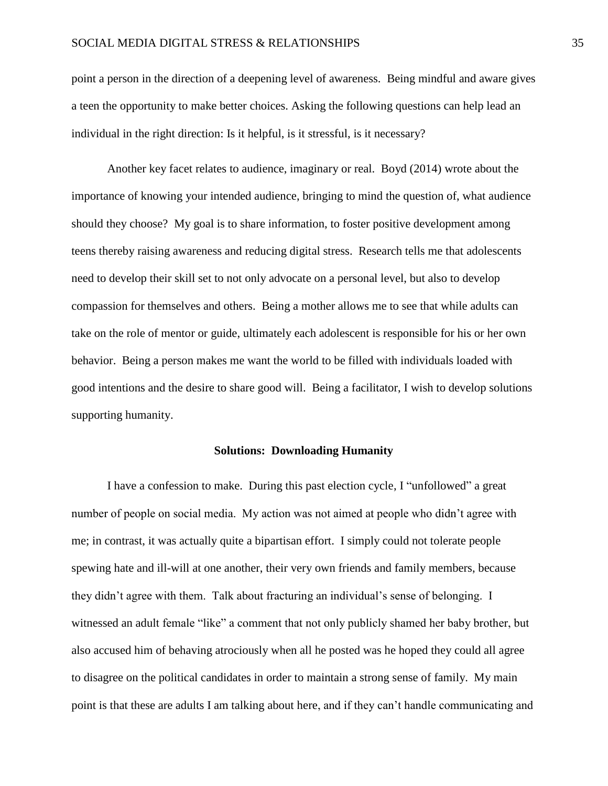point a person in the direction of a deepening level of awareness. Being mindful and aware gives a teen the opportunity to make better choices. Asking the following questions can help lead an individual in the right direction: Is it helpful, is it stressful, is it necessary?

Another key facet relates to audience, imaginary or real. Boyd (2014) wrote about the importance of knowing your intended audience, bringing to mind the question of, what audience should they choose? My goal is to share information, to foster positive development among teens thereby raising awareness and reducing digital stress. Research tells me that adolescents need to develop their skill set to not only advocate on a personal level, but also to develop compassion for themselves and others. Being a mother allows me to see that while adults can take on the role of mentor or guide, ultimately each adolescent is responsible for his or her own behavior. Being a person makes me want the world to be filled with individuals loaded with good intentions and the desire to share good will. Being a facilitator, I wish to develop solutions supporting humanity.

#### **Solutions: Downloading Humanity**

I have a confession to make. During this past election cycle, I "unfollowed" a great number of people on social media. My action was not aimed at people who didn't agree with me; in contrast, it was actually quite a bipartisan effort. I simply could not tolerate people spewing hate and ill-will at one another, their very own friends and family members, because they didn't agree with them. Talk about fracturing an individual's sense of belonging. I witnessed an adult female "like" a comment that not only publicly shamed her baby brother, but also accused him of behaving atrociously when all he posted was he hoped they could all agree to disagree on the political candidates in order to maintain a strong sense of family. My main point is that these are adults I am talking about here, and if they can't handle communicating and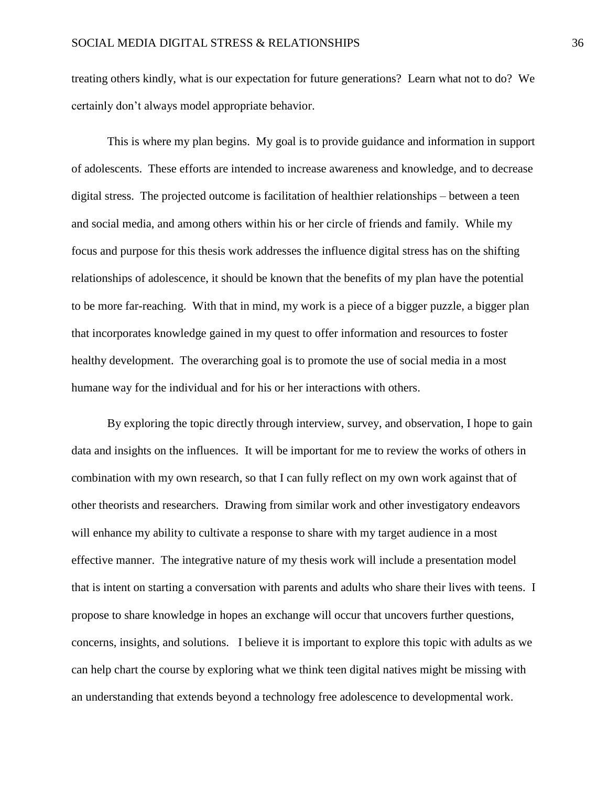treating others kindly, what is our expectation for future generations? Learn what not to do? We certainly don't always model appropriate behavior.

This is where my plan begins. My goal is to provide guidance and information in support of adolescents. These efforts are intended to increase awareness and knowledge, and to decrease digital stress. The projected outcome is facilitation of healthier relationships – between a teen and social media, and among others within his or her circle of friends and family. While my focus and purpose for this thesis work addresses the influence digital stress has on the shifting relationships of adolescence, it should be known that the benefits of my plan have the potential to be more far-reaching. With that in mind, my work is a piece of a bigger puzzle, a bigger plan that incorporates knowledge gained in my quest to offer information and resources to foster healthy development. The overarching goal is to promote the use of social media in a most humane way for the individual and for his or her interactions with others.

By exploring the topic directly through interview, survey, and observation, I hope to gain data and insights on the influences. It will be important for me to review the works of others in combination with my own research, so that I can fully reflect on my own work against that of other theorists and researchers. Drawing from similar work and other investigatory endeavors will enhance my ability to cultivate a response to share with my target audience in a most effective manner. The integrative nature of my thesis work will include a presentation model that is intent on starting a conversation with parents and adults who share their lives with teens. I propose to share knowledge in hopes an exchange will occur that uncovers further questions, concerns, insights, and solutions. I believe it is important to explore this topic with adults as we can help chart the course by exploring what we think teen digital natives might be missing with an understanding that extends beyond a technology free adolescence to developmental work.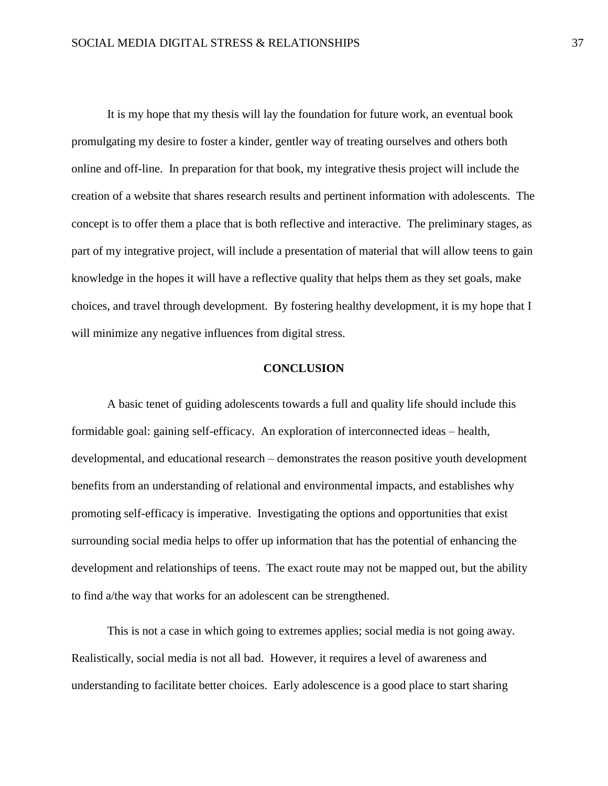It is my hope that my thesis will lay the foundation for future work, an eventual book promulgating my desire to foster a kinder, gentler way of treating ourselves and others both online and off-line. In preparation for that book, my integrative thesis project will include the creation of a website that shares research results and pertinent information with adolescents. The concept is to offer them a place that is both reflective and interactive. The preliminary stages, as part of my integrative project, will include a presentation of material that will allow teens to gain knowledge in the hopes it will have a reflective quality that helps them as they set goals, make choices, and travel through development. By fostering healthy development, it is my hope that I will minimize any negative influences from digital stress.

# **CONCLUSION**

A basic tenet of guiding adolescents towards a full and quality life should include this formidable goal: gaining self-efficacy. An exploration of interconnected ideas – health, developmental, and educational research – demonstrates the reason positive youth development benefits from an understanding of relational and environmental impacts, and establishes why promoting self-efficacy is imperative. Investigating the options and opportunities that exist surrounding social media helps to offer up information that has the potential of enhancing the development and relationships of teens. The exact route may not be mapped out, but the ability to find a/the way that works for an adolescent can be strengthened.

This is not a case in which going to extremes applies; social media is not going away. Realistically, social media is not all bad. However, it requires a level of awareness and understanding to facilitate better choices. Early adolescence is a good place to start sharing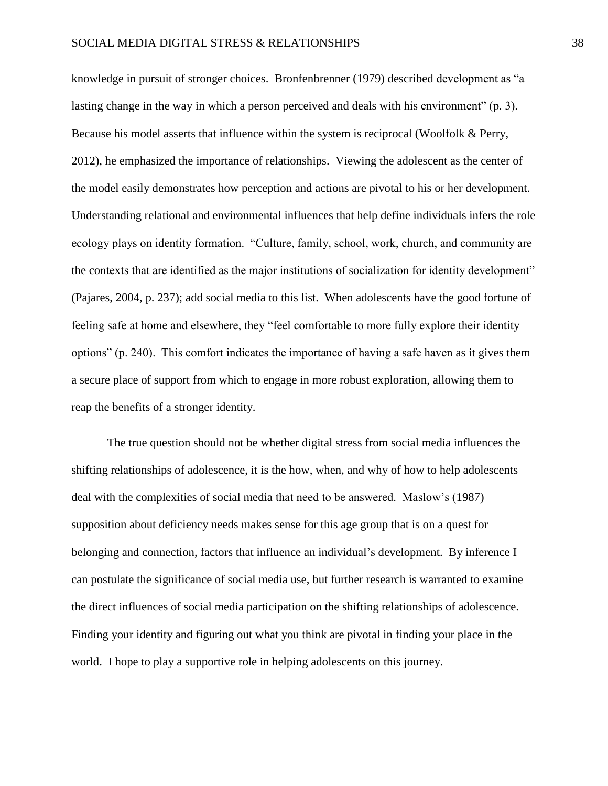knowledge in pursuit of stronger choices. Bronfenbrenner (1979) described development as "a lasting change in the way in which a person perceived and deals with his environment" (p. 3). Because his model asserts that influence within the system is reciprocal (Woolfolk & Perry, 2012), he emphasized the importance of relationships. Viewing the adolescent as the center of the model easily demonstrates how perception and actions are pivotal to his or her development. Understanding relational and environmental influences that help define individuals infers the role ecology plays on identity formation. "Culture, family, school, work, church, and community are the contexts that are identified as the major institutions of socialization for identity development" (Pajares, 2004, p. 237); add social media to this list. When adolescents have the good fortune of feeling safe at home and elsewhere, they "feel comfortable to more fully explore their identity options" (p. 240). This comfort indicates the importance of having a safe haven as it gives them a secure place of support from which to engage in more robust exploration, allowing them to reap the benefits of a stronger identity.

The true question should not be whether digital stress from social media influences the shifting relationships of adolescence, it is the how, when, and why of how to help adolescents deal with the complexities of social media that need to be answered. Maslow's (1987) supposition about deficiency needs makes sense for this age group that is on a quest for belonging and connection, factors that influence an individual's development. By inference I can postulate the significance of social media use, but further research is warranted to examine the direct influences of social media participation on the shifting relationships of adolescence. Finding your identity and figuring out what you think are pivotal in finding your place in the world. I hope to play a supportive role in helping adolescents on this journey.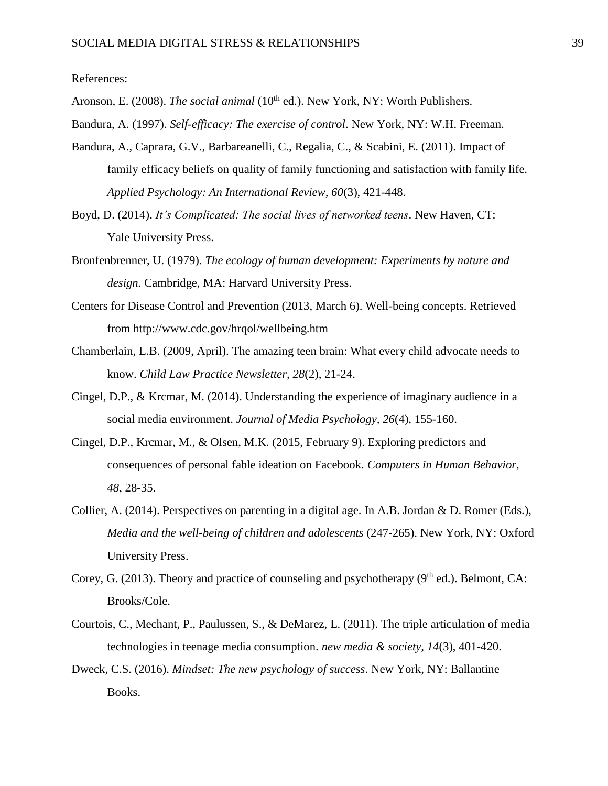References:

Aronson, E. (2008). *The social animal* (10<sup>th</sup> ed.). New York, NY: Worth Publishers.

- Bandura, A. (1997). *Self-efficacy: The exercise of control*. New York, NY: W.H. Freeman.
- Bandura, A., Caprara, G.V., Barbareanelli, C., Regalia, C., & Scabini, E. (2011). Impact of family efficacy beliefs on quality of family functioning and satisfaction with family life. *Applied Psychology: An International Review, 60*(3), 421-448.
- Boyd, D. (2014). *It's Complicated: The social lives of networked teens*. New Haven, CT: Yale University Press.
- Bronfenbrenner, U. (1979). *The ecology of human development: Experiments by nature and design.* Cambridge, MA: Harvard University Press.
- Centers for Disease Control and Prevention (2013, March 6). Well-being concepts. Retrieved from http://www.cdc.gov/hrqol/wellbeing.htm
- Chamberlain, L.B. (2009, April). The amazing teen brain: What every child advocate needs to know. *Child Law Practice Newsletter, 28*(2), 21-24.
- Cingel, D.P., & Krcmar, M. (2014). Understanding the experience of imaginary audience in a social media environment. *Journal of Media Psychology, 26*(4), 155-160.
- Cingel, D.P., Krcmar, M., & Olsen, M.K. (2015, February 9). Exploring predictors and consequences of personal fable ideation on Facebook. *Computers in Human Behavior, 48*, 28-35.
- Collier, A. (2014). Perspectives on parenting in a digital age. In A.B. Jordan & D. Romer (Eds.), *Media and the well-being of children and adolescents* (247-265). New York, NY: Oxford University Press.
- Corey, G. (2013). Theory and practice of counseling and psychotherapy ( $9<sup>th</sup>$  ed.). Belmont, CA: Brooks/Cole.
- Courtois, C., Mechant, P., Paulussen, S., & DeMarez, L. (2011). The triple articulation of media technologies in teenage media consumption. *new media & society, 14*(3), 401-420.
- Dweck, C.S. (2016). *Mindset: The new psychology of success*. New York, NY: Ballantine Books.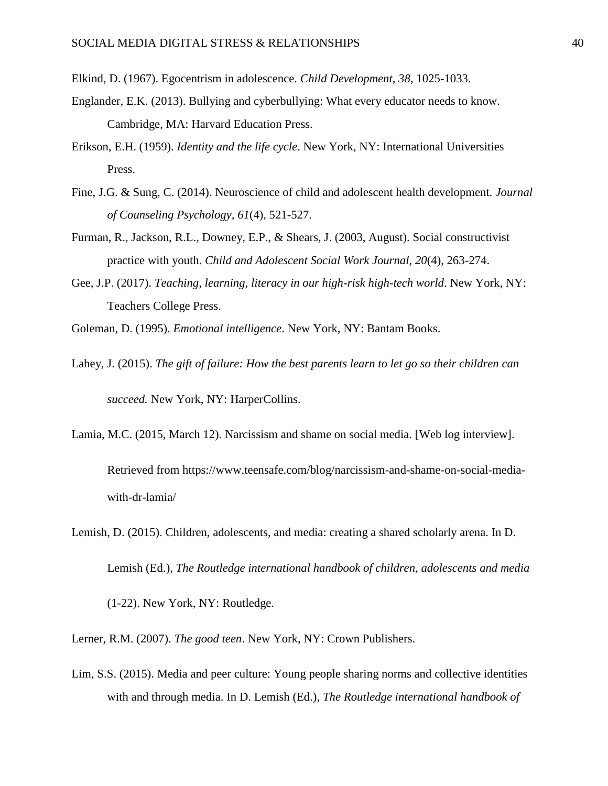Elkind, D. (1967). Egocentrism in adolescence. *Child Development, 38*, 1025-1033.

- Englander, E.K. (2013). Bullying and cyberbullying: What every educator needs to know. Cambridge, MA: Harvard Education Press.
- Erikson, E.H. (1959). *Identity and the life cycle*. New York, NY: International Universities Press.
- Fine, J.G. & Sung, C. (2014). Neuroscience of child and adolescent health development. *Journal of Counseling Psychology, 61*(4), 521-527.
- Furman, R., Jackson, R.L., Downey, E.P., & Shears, J. (2003, August). Social constructivist practice with youth. *Child and Adolescent Social Work Journal, 20*(4), 263-274.
- Gee, J.P. (2017). *Teaching, learning, literacy in our high-risk high-tech world*. New York, NY: Teachers College Press.
- Goleman, D. (1995). *Emotional intelligence*. New York, NY: Bantam Books.
- Lahey, J. (2015). *The gift of failure: How the best parents learn to let go so their children can succeed.* New York, NY: HarperCollins.
- Lamia, M.C. (2015, March 12). Narcissism and shame on social media. [Web log interview].

Retrieved from https://www.teensafe.com/blog/narcissism-and-shame-on-social-mediawith-dr-lamia/

- Lemish, D. (2015). Children, adolescents, and media: creating a shared scholarly arena. In D. Lemish (Ed.), *The Routledge international handbook of children, adolescents and media* (1-22). New York, NY: Routledge.
- Lerner, R.M. (2007). *The good teen*. New York, NY: Crown Publishers.
- Lim, S.S. (2015). Media and peer culture: Young people sharing norms and collective identities with and through media. In D. Lemish (Ed.), *The Routledge international handbook of*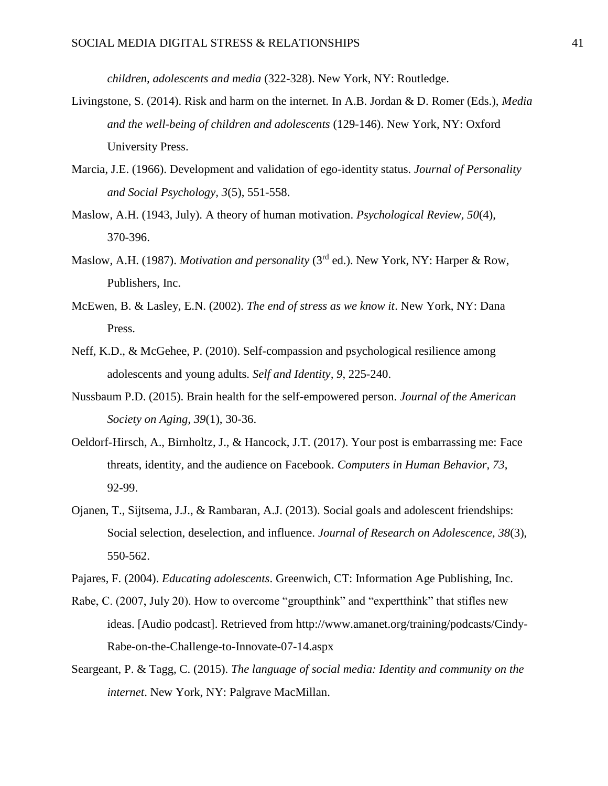*children, adolescents and media* (322-328). New York, NY: Routledge.

- Livingstone, S. (2014). Risk and harm on the internet. In A.B. Jordan & D. Romer (Eds.), *Media and the well-being of children and adolescents* (129-146). New York, NY: Oxford University Press.
- Marcia, J.E. (1966). Development and validation of ego-identity status. *Journal of Personality and Social Psychology, 3*(5), 551-558.
- Maslow, A.H. (1943, July). A theory of human motivation. *Psychological Review, 50*(4), 370-396.
- Maslow, A.H. (1987). *Motivation and personality* (3rd ed.). New York, NY: Harper & Row, Publishers, Inc.
- McEwen, B. & Lasley, E.N. (2002). *The end of stress as we know it*. New York, NY: Dana Press.
- Neff, K.D., & McGehee, P. (2010). Self-compassion and psychological resilience among adolescents and young adults. *Self and Identity, 9*, 225-240.
- Nussbaum P.D. (2015). Brain health for the self-empowered person. *Journal of the American Society on Aging, 39*(1), 30-36.
- Oeldorf-Hirsch, A., Birnholtz, J., & Hancock, J.T. (2017). Your post is embarrassing me: Face threats, identity, and the audience on Facebook. *Computers in Human Behavior, 73*, 92-99.
- Ojanen, T., Sijtsema, J.J., & Rambaran, A.J. (2013). Social goals and adolescent friendships: Social selection, deselection, and influence. *Journal of Research on Adolescence, 38*(3), 550-562.

- Rabe, C. (2007, July 20). How to overcome "groupthink" and "expertthink" that stifles new ideas. [Audio podcast]. Retrieved from http://www.amanet.org/training/podcasts/Cindy-Rabe-on-the-Challenge-to-Innovate-07-14.aspx
- Seargeant, P. & Tagg, C. (2015). *The language of social media: Identity and community on the internet*. New York, NY: Palgrave MacMillan.

Pajares, F. (2004). *Educating adolescents*. Greenwich, CT: Information Age Publishing, Inc.